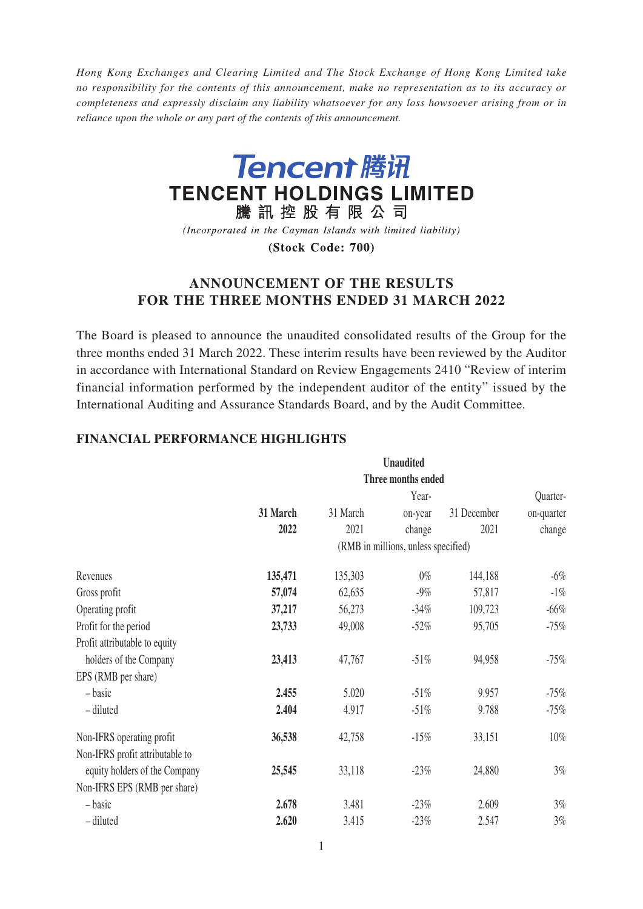*Hong Kong Exchanges and Clearing Limited and The Stock Exchange of Hong Kong Limited take no responsibility for the contents of this announcement, make no representation as to its accuracy or completeness and expressly disclaim any liability whatsoever for any loss howsoever arising from or in reliance upon the whole or any part of the contents of this announcement.*



(Incorporated in the Cayman Islands with limited liability)

(Stock Code: 700)

# **ANNOUNCEMENT OF THE RESULTS FOR THE THREE MONTHS ENDED 31 MARCH 2022**

The Board is pleased to announce the unaudited consolidated results of the Group for the three months ended 31 March 2022. These interim results have been reviewed by the Auditor in accordance with International Standard on Review Engagements 2410 "Review of interim financial information performed by the independent auditor of the entity" issued by the International Auditing and Assurance Standards Board, and by the Audit Committee.

|                                 |          |          | <b>Unaudited</b>                    |             |            |
|---------------------------------|----------|----------|-------------------------------------|-------------|------------|
|                                 |          |          | Three months ended                  |             |            |
|                                 |          |          | Year-                               |             | Quarter-   |
|                                 | 31 March | 31 March | on-year                             | 31 December | on-quarter |
|                                 | 2022     | 2021     | change                              | 2021        | change     |
|                                 |          |          | (RMB in millions, unless specified) |             |            |
| Revenues                        | 135,471  | 135,303  | $0\%$                               | 144,188     | $-6\%$     |
| Gross profit                    | 57,074   | 62,635   | $-9\%$                              | 57,817      | $-1\%$     |
| Operating profit                | 37,217   | 56,273   | $-34\%$                             | 109,723     | $-66%$     |
| Profit for the period           | 23,733   | 49,008   | $-52\%$                             | 95,705      | $-75%$     |
| Profit attributable to equity   |          |          |                                     |             |            |
| holders of the Company          | 23,413   | 47,767   | $-51%$                              | 94,958      | $-75%$     |
| EPS (RMB per share)             |          |          |                                     |             |            |
| - basic                         | 2.455    | 5.020    | $-51\%$                             | 9.957       | $-75%$     |
| - diluted                       | 2.404    | 4.917    | $-51%$                              | 9.788       | $-75%$     |
| Non-IFRS operating profit       | 36,538   | 42,758   | $-15%$                              | 33,151      | $10\%$     |
| Non-IFRS profit attributable to |          |          |                                     |             |            |
| equity holders of the Company   | 25,545   | 33,118   | $-23%$                              | 24,880      | 3%         |
| Non-IFRS EPS (RMB per share)    |          |          |                                     |             |            |
| - basic                         | 2.678    | 3.481    | $-23%$                              | 2.609       | 3%         |
| - diluted                       | 2.620    | 3.415    | $-23%$                              | 2.547       | 3%         |

# **FINANCIAL PERFORMANCE HIGHLIGHTS**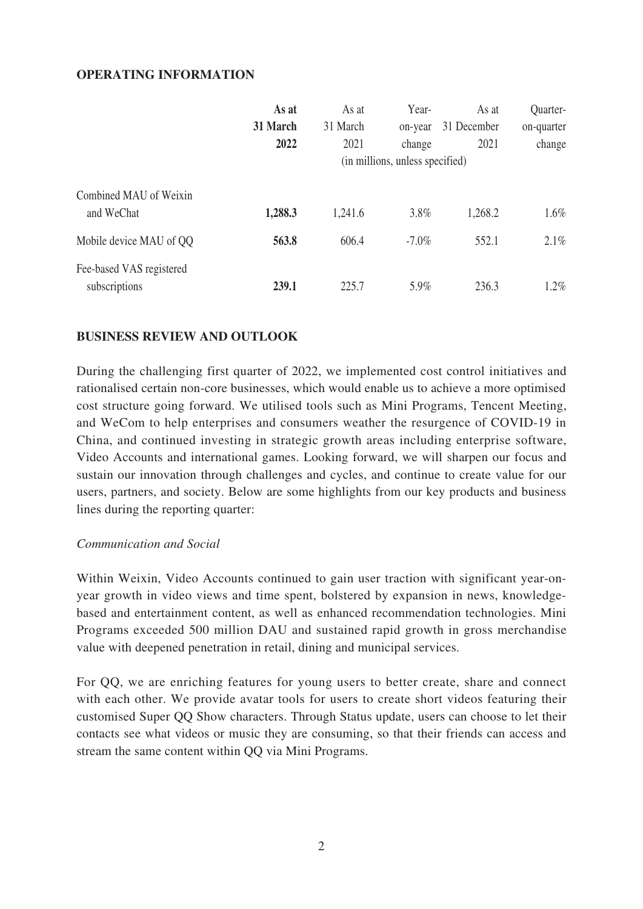## **OPERATING INFORMATION**

|                                           | As at<br>31 March<br>2022 | As at<br>31 March<br>2021 | Year-<br>on-year<br>change<br>(in millions, unless specified) | As at<br>31 December<br>2021 | Quarter-<br>on-quarter<br>change |
|-------------------------------------------|---------------------------|---------------------------|---------------------------------------------------------------|------------------------------|----------------------------------|
| Combined MAU of Weixin<br>and WeChat      | 1,288.3                   | 1,241.6                   | 3.8%                                                          | 1,268.2                      | $1.6\%$                          |
| Mobile device MAU of QQ                   | 563.8                     | 606.4                     | $-7.0\%$                                                      | 552.1                        | $2.1\%$                          |
| Fee-based VAS registered<br>subscriptions | 239.1                     | 225.7                     | 5.9%                                                          | 236.3                        | $1.2\%$                          |

## **BUSINESS REVIEW AND OUTLOOK**

During the challenging first quarter of 2022, we implemented cost control initiatives and rationalised certain non-core businesses, which would enable us to achieve a more optimised cost structure going forward. We utilised tools such as Mini Programs, Tencent Meeting, and WeCom to help enterprises and consumers weather the resurgence of COVID-19 in China, and continued investing in strategic growth areas including enterprise software, Video Accounts and international games. Looking forward, we will sharpen our focus and sustain our innovation through challenges and cycles, and continue to create value for our users, partners, and society. Below are some highlights from our key products and business lines during the reporting quarter:

## *Communication and Social*

Within Weixin, Video Accounts continued to gain user traction with significant year-onyear growth in video views and time spent, bolstered by expansion in news, knowledgebased and entertainment content, as well as enhanced recommendation technologies. Mini Programs exceeded 500 million DAU and sustained rapid growth in gross merchandise value with deepened penetration in retail, dining and municipal services.

For QQ, we are enriching features for young users to better create, share and connect with each other. We provide avatar tools for users to create short videos featuring their customised Super QQ Show characters. Through Status update, users can choose to let their contacts see what videos or music they are consuming, so that their friends can access and stream the same content within QQ via Mini Programs.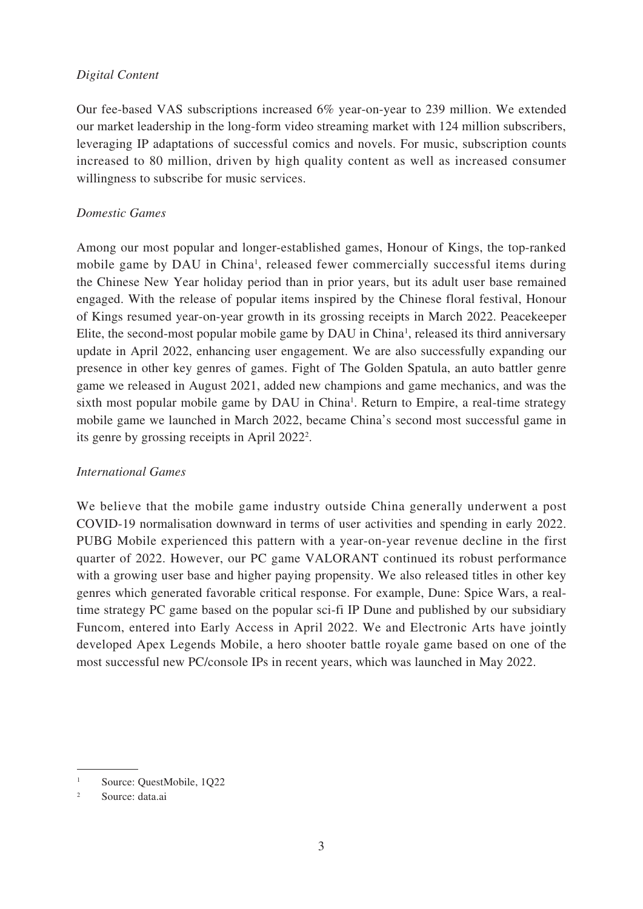## *Digital Content*

Our fee-based VAS subscriptions increased 6% year-on-year to 239 million. We extended our market leadership in the long-form video streaming market with 124 million subscribers, leveraging IP adaptations of successful comics and novels. For music, subscription counts increased to 80 million, driven by high quality content as well as increased consumer willingness to subscribe for music services.

## *Domestic Games*

Among our most popular and longer-established games, Honour of Kings, the top-ranked mobile game by DAU in China<sup>1</sup>, released fewer commercially successful items during the Chinese New Year holiday period than in prior years, but its adult user base remained engaged. With the release of popular items inspired by the Chinese floral festival, Honour of Kings resumed year-on-year growth in its grossing receipts in March 2022. Peacekeeper Elite, the second-most popular mobile game by DAU in China<sup>1</sup>, released its third anniversary update in April 2022, enhancing user engagement. We are also successfully expanding our presence in other key genres of games. Fight of The Golden Spatula, an auto battler genre game we released in August 2021, added new champions and game mechanics, and was the sixth most popular mobile game by DAU in China<sup>1</sup>. Return to Empire, a real-time strategy mobile game we launched in March 2022, became China's second most successful game in its genre by grossing receipts in April 2022<sup>2</sup>.

# *International Games*

We believe that the mobile game industry outside China generally underwent a post COVID-19 normalisation downward in terms of user activities and spending in early 2022. PUBG Mobile experienced this pattern with a year-on-year revenue decline in the first quarter of 2022. However, our PC game VALORANT continued its robust performance with a growing user base and higher paying propensity. We also released titles in other key genres which generated favorable critical response. For example, Dune: Spice Wars, a realtime strategy PC game based on the popular sci-fi IP Dune and published by our subsidiary Funcom, entered into Early Access in April 2022. We and Electronic Arts have jointly developed Apex Legends Mobile, a hero shooter battle royale game based on one of the most successful new PC/console IPs in recent years, which was launched in May 2022.

<sup>1</sup> Source: QuestMobile, 1Q22

<sup>2</sup> Source: data.ai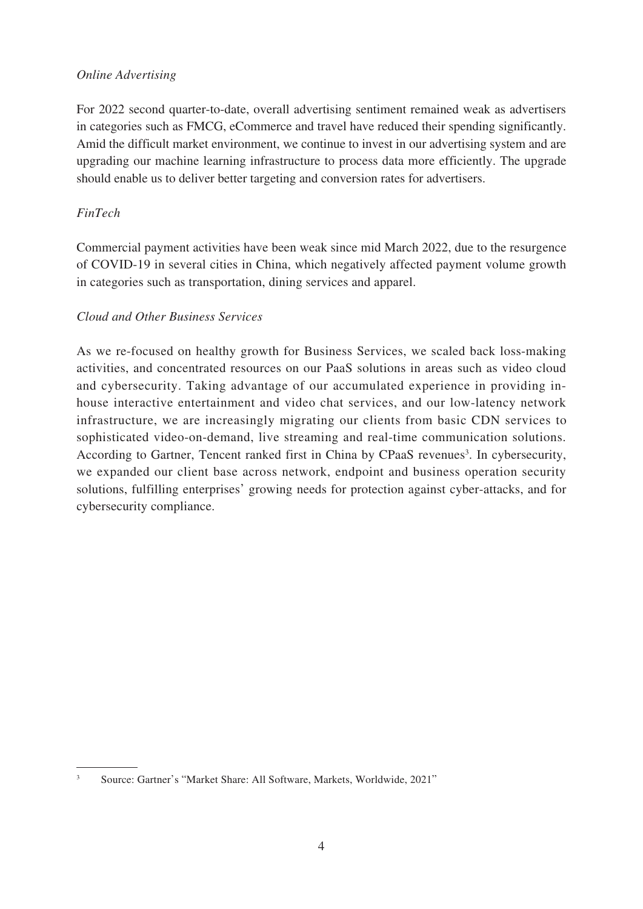# *Online Advertising*

For 2022 second quarter-to-date, overall advertising sentiment remained weak as advertisers in categories such as FMCG, eCommerce and travel have reduced their spending significantly. Amid the difficult market environment, we continue to invest in our advertising system and are upgrading our machine learning infrastructure to process data more efficiently. The upgrade should enable us to deliver better targeting and conversion rates for advertisers.

# *FinTech*

Commercial payment activities have been weak since mid March 2022, due to the resurgence of COVID-19 in several cities in China, which negatively affected payment volume growth in categories such as transportation, dining services and apparel.

# *Cloud and Other Business Services*

As we re-focused on healthy growth for Business Services, we scaled back loss-making activities, and concentrated resources on our PaaS solutions in areas such as video cloud and cybersecurity. Taking advantage of our accumulated experience in providing inhouse interactive entertainment and video chat services, and our low-latency network infrastructure, we are increasingly migrating our clients from basic CDN services to sophisticated video-on-demand, live streaming and real-time communication solutions. According to Gartner, Tencent ranked first in China by CPaaS revenues<sup>3</sup>. In cybersecurity, we expanded our client base across network, endpoint and business operation security solutions, fulfilling enterprises' growing needs for protection against cyber-attacks, and for cybersecurity compliance.

<sup>3</sup> Source: Gartner's "Market Share: All Software, Markets, Worldwide, 2021"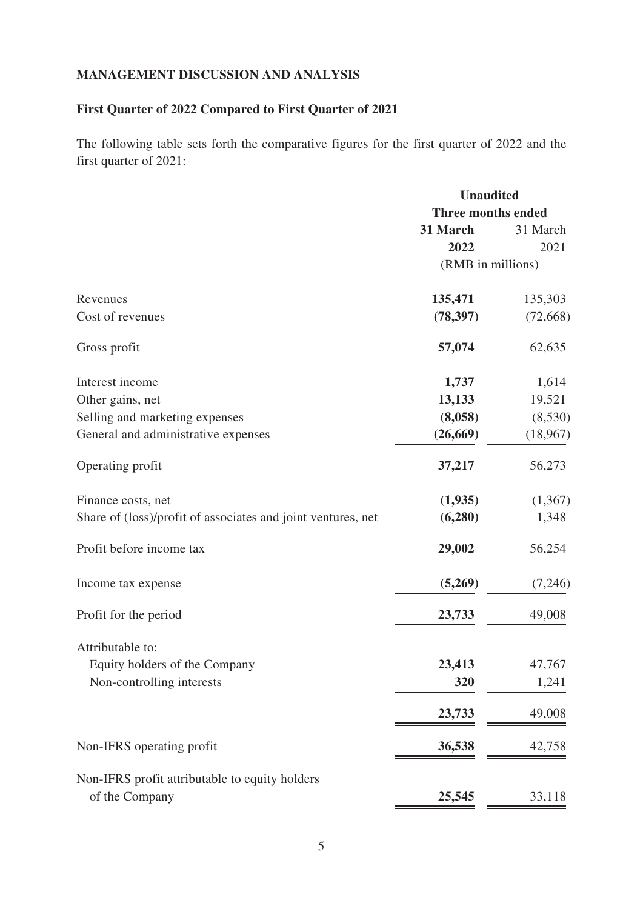# **MANAGEMENT DISCUSSION AND ANALYSIS**

# **First Quarter of 2022 Compared to First Quarter of 2021**

The following table sets forth the comparative figures for the first quarter of 2022 and the first quarter of 2021:

|                                                              | <b>Unaudited</b>          |           |
|--------------------------------------------------------------|---------------------------|-----------|
|                                                              | <b>Three months ended</b> |           |
|                                                              | 31 March                  | 31 March  |
|                                                              | 2022                      | 2021      |
|                                                              | (RMB in millions)         |           |
| Revenues                                                     | 135,471                   | 135,303   |
| Cost of revenues                                             | (78, 397)                 | (72, 668) |
| Gross profit                                                 | 57,074                    | 62,635    |
| Interest income                                              | 1,737                     | 1,614     |
| Other gains, net                                             | 13,133                    | 19,521    |
| Selling and marketing expenses                               | (8,058)                   | (8,530)   |
| General and administrative expenses                          | (26, 669)                 | (18,967)  |
| Operating profit                                             | 37,217                    | 56,273    |
| Finance costs, net                                           | (1,935)                   | (1,367)   |
| Share of (loss)/profit of associates and joint ventures, net | (6, 280)                  | 1,348     |
| Profit before income tax                                     | 29,002                    | 56,254    |
| Income tax expense                                           | (5,269)                   | (7,246)   |
| Profit for the period                                        | 23,733                    | 49,008    |
| Attributable to:                                             |                           |           |
| Equity holders of the Company                                | 23,413                    | 47,767    |
| Non-controlling interests                                    | 320                       | 1,241     |
|                                                              | 23,733                    | 49,008    |
| Non-IFRS operating profit                                    | 36,538                    | 42,758    |
| Non-IFRS profit attributable to equity holders               |                           |           |
| of the Company                                               | 25,545                    | 33,118    |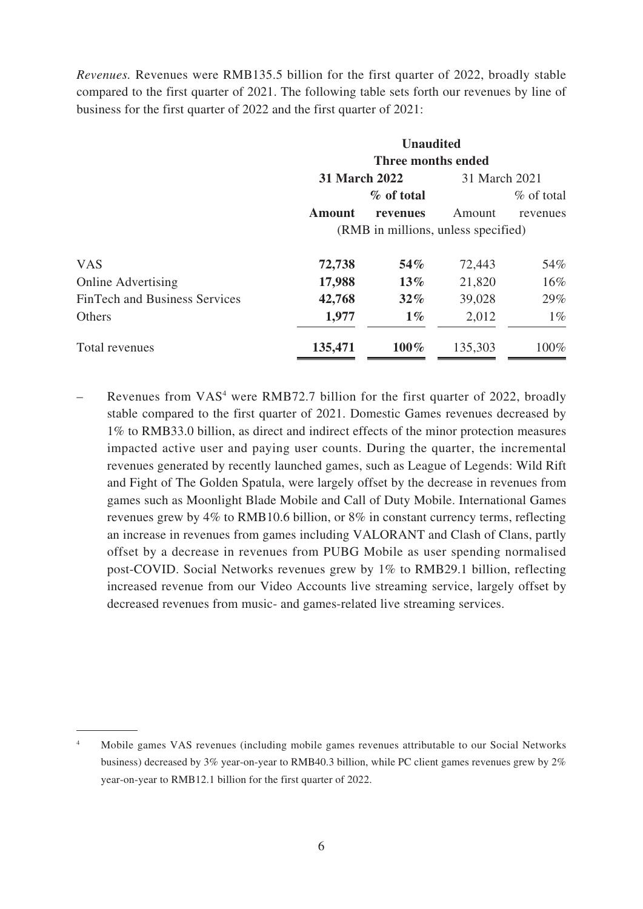*Revenues.* Revenues were RMB135.5 billion for the first quarter of 2022, broadly stable compared to the first quarter of 2021. The following table sets forth our revenues by line of business for the first quarter of 2022 and the first quarter of 2021:

|                                      |                    | <b>Unaudited</b>                    |               |               |  |
|--------------------------------------|--------------------|-------------------------------------|---------------|---------------|--|
|                                      | Three months ended |                                     |               |               |  |
|                                      | 31 March 2022      |                                     | 31 March 2021 |               |  |
|                                      |                    | % of total                          |               | $\%$ of total |  |
|                                      | <b>Amount</b>      | revenues                            | Amount        | revenues      |  |
|                                      |                    | (RMB in millions, unless specified) |               |               |  |
| <b>VAS</b>                           | 72,738             | $54\%$                              | 72,443        | 54%           |  |
| <b>Online Advertising</b>            | 17,988             | $13\%$                              | 21,820        | $16\%$        |  |
| <b>FinTech and Business Services</b> | 42,768             | $32\%$                              | 39,028        | 29%           |  |
| Others                               | 1,977              | $1\%$                               | 2,012         | $1\%$         |  |
| Total revenues                       | 135,471            | $100\%$                             | 135,303       | 100%          |  |

- Revenues from VAS<sup>4</sup> were RMB72.7 billion for the first quarter of 2022, broadly stable compared to the first quarter of 2021. Domestic Games revenues decreased by 1% to RMB33.0 billion, as direct and indirect effects of the minor protection measures impacted active user and paying user counts. During the quarter, the incremental revenues generated by recently launched games, such as League of Legends: Wild Rift and Fight of The Golden Spatula, were largely offset by the decrease in revenues from games such as Moonlight Blade Mobile and Call of Duty Mobile. International Games revenues grew by 4% to RMB10.6 billion, or 8% in constant currency terms, reflecting an increase in revenues from games including VALORANT and Clash of Clans, partly offset by a decrease in revenues from PUBG Mobile as user spending normalised post-COVID. Social Networks revenues grew by 1% to RMB29.1 billion, reflecting increased revenue from our Video Accounts live streaming service, largely offset by decreased revenues from music- and games-related live streaming services.

<sup>4</sup> Mobile games VAS revenues (including mobile games revenues attributable to our Social Networks business) decreased by 3% year-on-year to RMB40.3 billion, while PC client games revenues grew by 2% year-on-year to RMB12.1 billion for the first quarter of 2022.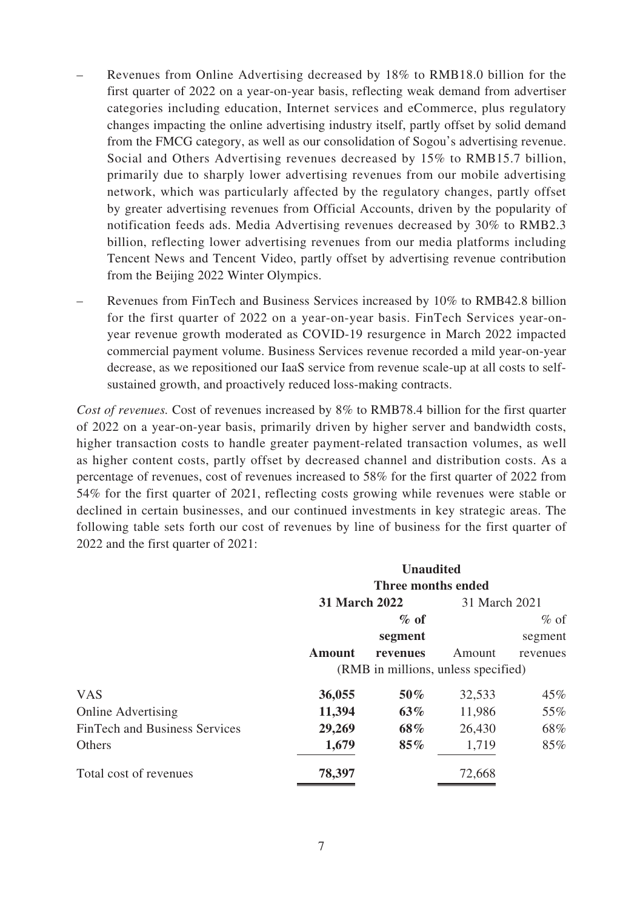- Revenues from Online Advertising decreased by 18% to RMB18.0 billion for the first quarter of 2022 on a year-on-year basis, reflecting weak demand from advertiser categories including education, Internet services and eCommerce, plus regulatory changes impacting the online advertising industry itself, partly offset by solid demand from the FMCG category, as well as our consolidation of Sogou's advertising revenue. Social and Others Advertising revenues decreased by 15% to RMB15.7 billion, primarily due to sharply lower advertising revenues from our mobile advertising network, which was particularly affected by the regulatory changes, partly offset by greater advertising revenues from Official Accounts, driven by the popularity of notification feeds ads. Media Advertising revenues decreased by 30% to RMB2.3 billion, reflecting lower advertising revenues from our media platforms including Tencent News and Tencent Video, partly offset by advertising revenue contribution from the Beijing 2022 Winter Olympics.
- Revenues from FinTech and Business Services increased by 10% to RMB42.8 billion for the first quarter of 2022 on a year-on-year basis. FinTech Services year-onyear revenue growth moderated as COVID-19 resurgence in March 2022 impacted commercial payment volume. Business Services revenue recorded a mild year-on-year decrease, as we repositioned our IaaS service from revenue scale-up at all costs to selfsustained growth, and proactively reduced loss-making contracts.

*Cost of revenues.* Cost of revenues increased by 8% to RMB78.4 billion for the first quarter of 2022 on a year-on-year basis, primarily driven by higher server and bandwidth costs, higher transaction costs to handle greater payment-related transaction volumes, as well as higher content costs, partly offset by decreased channel and distribution costs. As a percentage of revenues, cost of revenues increased to 58% for the first quarter of 2022 from 54% for the first quarter of 2021, reflecting costs growing while revenues were stable or declined in certain businesses, and our continued investments in key strategic areas. The following table sets forth our cost of revenues by line of business for the first quarter of 2022 and the first quarter of 2021:

|                                      |                      | <b>Unaudited</b>                    |               |          |
|--------------------------------------|----------------------|-------------------------------------|---------------|----------|
|                                      |                      | Three months ended                  |               |          |
|                                      | <b>31 March 2022</b> |                                     | 31 March 2021 |          |
|                                      |                      | $\%$ of                             |               | $%$ of   |
|                                      |                      | segment                             |               | segment  |
|                                      | <b>Amount</b>        | revenues                            | Amount        | revenues |
|                                      |                      | (RMB in millions, unless specified) |               |          |
| <b>VAS</b>                           | 36,055               | 50%                                 | 32,533        | 45%      |
| <b>Online Advertising</b>            | 11,394               | $63\%$                              | 11,986        | 55%      |
| <b>FinTech and Business Services</b> | 29,269               | 68%                                 | 26,430        | 68%      |
| Others                               | 1,679                | 85%                                 | 1,719         | 85%      |
| Total cost of revenues               | 78,397               |                                     | 72,668        |          |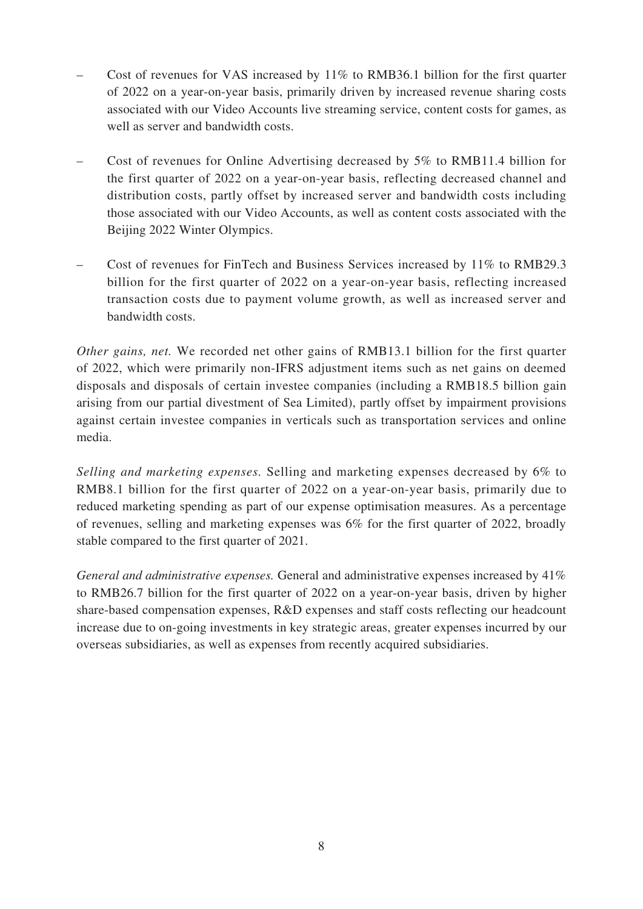- Cost of revenues for VAS increased by 11% to RMB36.1 billion for the first quarter of 2022 on a year-on-year basis, primarily driven by increased revenue sharing costs associated with our Video Accounts live streaming service, content costs for games, as well as server and bandwidth costs.
- Cost of revenues for Online Advertising decreased by 5% to RMB11.4 billion for the first quarter of 2022 on a year-on-year basis, reflecting decreased channel and distribution costs, partly offset by increased server and bandwidth costs including those associated with our Video Accounts, as well as content costs associated with the Beijing 2022 Winter Olympics.
- Cost of revenues for FinTech and Business Services increased by 11% to RMB29.3 billion for the first quarter of 2022 on a year-on-year basis, reflecting increased transaction costs due to payment volume growth, as well as increased server and bandwidth costs.

*Other gains, net.* We recorded net other gains of RMB13.1 billion for the first quarter of 2022, which were primarily non-IFRS adjustment items such as net gains on deemed disposals and disposals of certain investee companies (including a RMB18.5 billion gain arising from our partial divestment of Sea Limited), partly offset by impairment provisions against certain investee companies in verticals such as transportation services and online media.

*Selling and marketing expenses.* Selling and marketing expenses decreased by 6% to RMB8.1 billion for the first quarter of 2022 on a year-on-year basis, primarily due to reduced marketing spending as part of our expense optimisation measures. As a percentage of revenues, selling and marketing expenses was 6% for the first quarter of 2022, broadly stable compared to the first quarter of 2021.

*General and administrative expenses.* General and administrative expenses increased by 41% to RMB26.7 billion for the first quarter of 2022 on a year-on-year basis, driven by higher share-based compensation expenses, R&D expenses and staff costs reflecting our headcount increase due to on-going investments in key strategic areas, greater expenses incurred by our overseas subsidiaries, as well as expenses from recently acquired subsidiaries.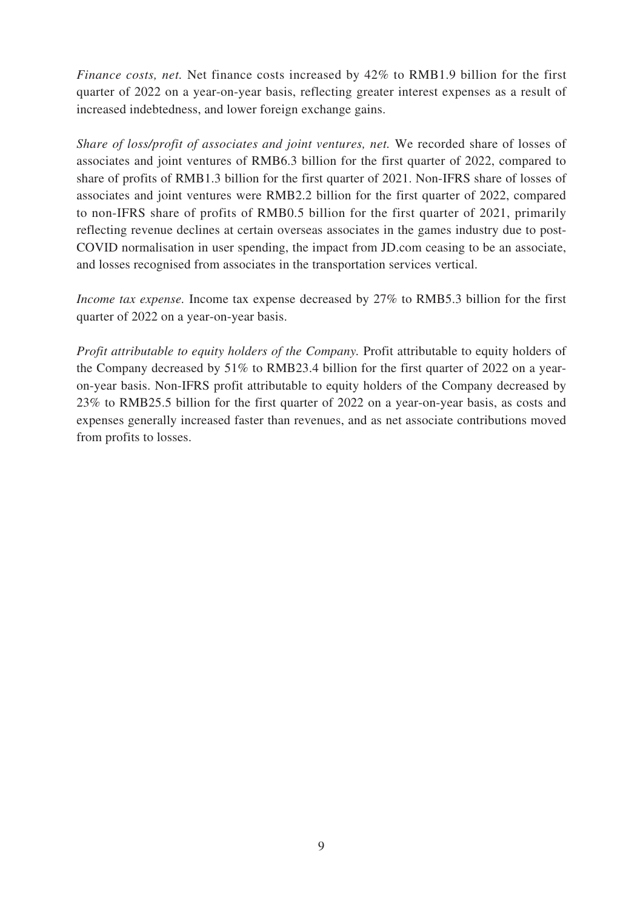*Finance costs, net.* Net finance costs increased by 42% to RMB1.9 billion for the first quarter of 2022 on a year-on-year basis, reflecting greater interest expenses as a result of increased indebtedness, and lower foreign exchange gains.

*Share of loss/profit of associates and joint ventures, net.* We recorded share of losses of associates and joint ventures of RMB6.3 billion for the first quarter of 2022, compared to share of profits of RMB1.3 billion for the first quarter of 2021. Non-IFRS share of losses of associates and joint ventures were RMB2.2 billion for the first quarter of 2022, compared to non-IFRS share of profits of RMB0.5 billion for the first quarter of 2021, primarily reflecting revenue declines at certain overseas associates in the games industry due to post-COVID normalisation in user spending, the impact from JD.com ceasing to be an associate, and losses recognised from associates in the transportation services vertical.

*Income tax expense.* Income tax expense decreased by 27% to RMB5.3 billion for the first quarter of 2022 on a year-on-year basis.

*Profit attributable to equity holders of the Company.* Profit attributable to equity holders of the Company decreased by 51% to RMB23.4 billion for the first quarter of 2022 on a yearon-year basis. Non-IFRS profit attributable to equity holders of the Company decreased by 23% to RMB25.5 billion for the first quarter of 2022 on a year-on-year basis, as costs and expenses generally increased faster than revenues, and as net associate contributions moved from profits to losses.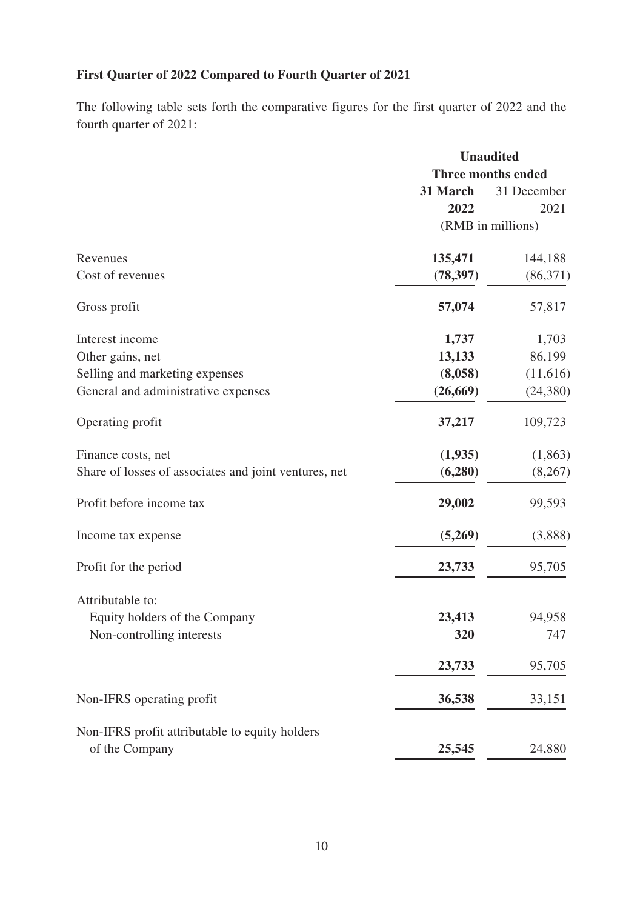# **First Quarter of 2022 Compared to Fourth Quarter of 2021**

The following table sets forth the comparative figures for the first quarter of 2022 and the fourth quarter of 2021:

|                                                       |           | <b>Unaudited</b>   |
|-------------------------------------------------------|-----------|--------------------|
|                                                       |           | Three months ended |
|                                                       | 31 March  | 31 December        |
|                                                       | 2022      | 2021               |
|                                                       |           | (RMB in millions)  |
| Revenues                                              | 135,471   | 144,188            |
| Cost of revenues                                      | (78, 397) | (86,371)           |
| Gross profit                                          | 57,074    | 57,817             |
| Interest income                                       | 1,737     | 1,703              |
| Other gains, net                                      | 13,133    | 86,199             |
| Selling and marketing expenses                        | (8,058)   | (11,616)           |
| General and administrative expenses                   | (26, 669) | (24, 380)          |
| Operating profit                                      | 37,217    | 109,723            |
| Finance costs, net                                    | (1,935)   | (1,863)            |
| Share of losses of associates and joint ventures, net | (6,280)   | (8,267)            |
| Profit before income tax                              | 29,002    | 99,593             |
| Income tax expense                                    | (5,269)   | (3,888)            |
| Profit for the period                                 | 23,733    | 95,705             |
| Attributable to:                                      |           |                    |
| Equity holders of the Company                         | 23,413    | 94,958             |
| Non-controlling interests                             | 320       | 747                |
|                                                       | 23,733    | 95,705             |
| Non-IFRS operating profit                             | 36,538    | 33,151             |
| Non-IFRS profit attributable to equity holders        |           |                    |
| of the Company                                        | 25,545    | 24,880             |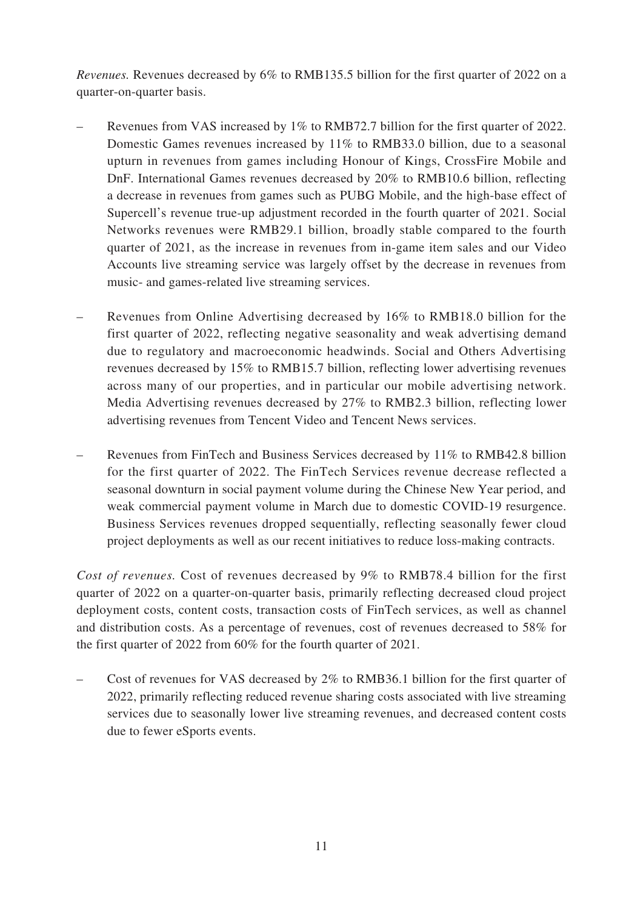*Revenues.* Revenues decreased by 6% to RMB135.5 billion for the first quarter of 2022 on a quarter-on-quarter basis.

- Revenues from VAS increased by 1% to RMB72.7 billion for the first quarter of 2022. Domestic Games revenues increased by 11% to RMB33.0 billion, due to a seasonal upturn in revenues from games including Honour of Kings, CrossFire Mobile and DnF. International Games revenues decreased by 20% to RMB10.6 billion, reflecting a decrease in revenues from games such as PUBG Mobile, and the high-base effect of Supercell's revenue true-up adjustment recorded in the fourth quarter of 2021. Social Networks revenues were RMB29.1 billion, broadly stable compared to the fourth quarter of 2021, as the increase in revenues from in-game item sales and our Video Accounts live streaming service was largely offset by the decrease in revenues from music- and games-related live streaming services.
- Revenues from Online Advertising decreased by 16% to RMB18.0 billion for the first quarter of 2022, reflecting negative seasonality and weak advertising demand due to regulatory and macroeconomic headwinds. Social and Others Advertising revenues decreased by 15% to RMB15.7 billion, reflecting lower advertising revenues across many of our properties, and in particular our mobile advertising network. Media Advertising revenues decreased by 27% to RMB2.3 billion, reflecting lower advertising revenues from Tencent Video and Tencent News services.
- Revenues from FinTech and Business Services decreased by 11% to RMB42.8 billion for the first quarter of 2022. The FinTech Services revenue decrease reflected a seasonal downturn in social payment volume during the Chinese New Year period, and weak commercial payment volume in March due to domestic COVID-19 resurgence. Business Services revenues dropped sequentially, reflecting seasonally fewer cloud project deployments as well as our recent initiatives to reduce loss-making contracts.

*Cost of revenues.* Cost of revenues decreased by 9% to RMB78.4 billion for the first quarter of 2022 on a quarter-on-quarter basis, primarily reflecting decreased cloud project deployment costs, content costs, transaction costs of FinTech services, as well as channel and distribution costs. As a percentage of revenues, cost of revenues decreased to 58% for the first quarter of 2022 from 60% for the fourth quarter of 2021.

– Cost of revenues for VAS decreased by 2% to RMB36.1 billion for the first quarter of 2022, primarily reflecting reduced revenue sharing costs associated with live streaming services due to seasonally lower live streaming revenues, and decreased content costs due to fewer eSports events.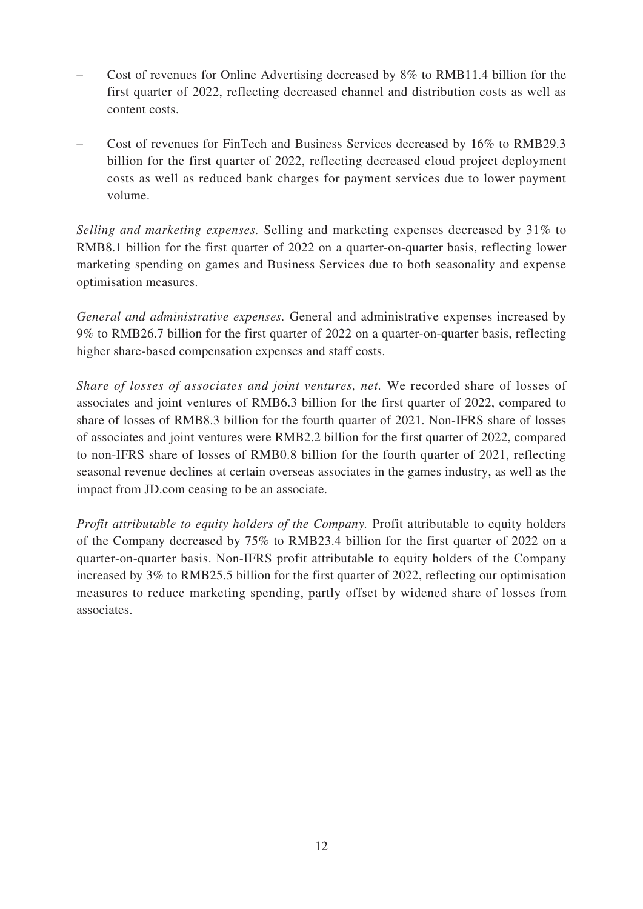- Cost of revenues for Online Advertising decreased by 8% to RMB11.4 billion for the first quarter of 2022, reflecting decreased channel and distribution costs as well as content costs.
- Cost of revenues for FinTech and Business Services decreased by 16% to RMB29.3 billion for the first quarter of 2022, reflecting decreased cloud project deployment costs as well as reduced bank charges for payment services due to lower payment volume.

*Selling and marketing expenses.* Selling and marketing expenses decreased by 31% to RMB8.1 billion for the first quarter of 2022 on a quarter-on-quarter basis, reflecting lower marketing spending on games and Business Services due to both seasonality and expense optimisation measures.

*General and administrative expenses.* General and administrative expenses increased by 9% to RMB26.7 billion for the first quarter of 2022 on a quarter-on-quarter basis, reflecting higher share-based compensation expenses and staff costs.

*Share of losses of associates and joint ventures, net.* We recorded share of losses of associates and joint ventures of RMB6.3 billion for the first quarter of 2022, compared to share of losses of RMB8.3 billion for the fourth quarter of 2021. Non-IFRS share of losses of associates and joint ventures were RMB2.2 billion for the first quarter of 2022, compared to non-IFRS share of losses of RMB0.8 billion for the fourth quarter of 2021, reflecting seasonal revenue declines at certain overseas associates in the games industry, as well as the impact from JD.com ceasing to be an associate.

*Profit attributable to equity holders of the Company.* Profit attributable to equity holders of the Company decreased by 75% to RMB23.4 billion for the first quarter of 2022 on a quarter-on-quarter basis. Non-IFRS profit attributable to equity holders of the Company increased by 3% to RMB25.5 billion for the first quarter of 2022, reflecting our optimisation measures to reduce marketing spending, partly offset by widened share of losses from associates.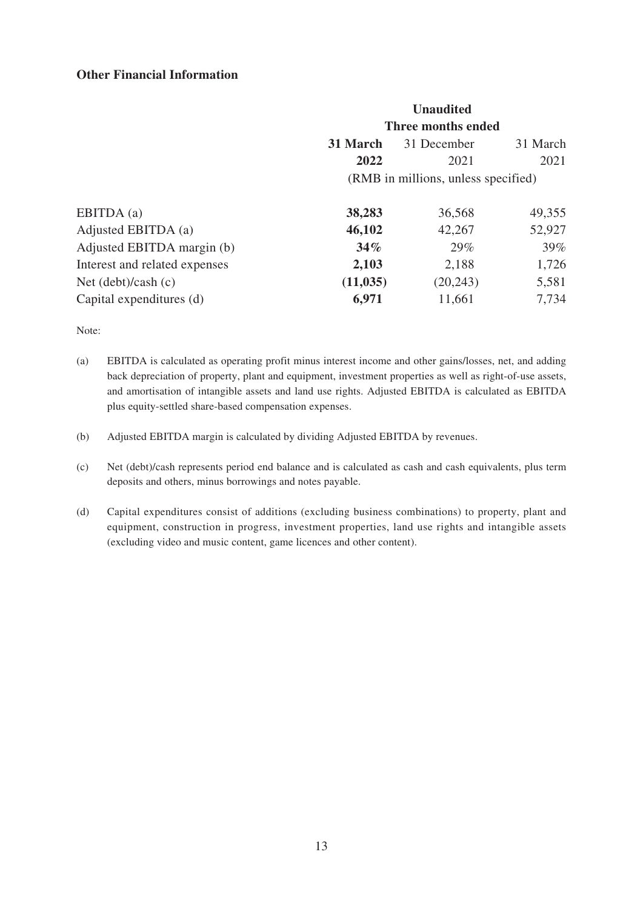## **Other Financial Information**

|                                     | <b>Unaudited</b> |          |  |  |
|-------------------------------------|------------------|----------|--|--|
| Three months ended                  |                  |          |  |  |
| 31 March                            | 31 December      | 31 March |  |  |
| 2022                                | 2021             | 2021     |  |  |
| (RMB in millions, unless specified) |                  |          |  |  |
| 38,283                              | 36,568           | 49,355   |  |  |
| 46,102                              | 42,267           | 52,927   |  |  |
| 34%                                 | 29%              | 39%      |  |  |
| 2,103                               | 2,188            | 1,726    |  |  |
| (11, 035)                           | (20, 243)        | 5,581    |  |  |
| 6,971                               | 11,661           | 7,734    |  |  |
|                                     |                  |          |  |  |

Note:

- (a) EBITDA is calculated as operating profit minus interest income and other gains/losses, net, and adding back depreciation of property, plant and equipment, investment properties as well as right-of-use assets, and amortisation of intangible assets and land use rights. Adjusted EBITDA is calculated as EBITDA plus equity-settled share-based compensation expenses.
- (b) Adjusted EBITDA margin is calculated by dividing Adjusted EBITDA by revenues.
- (c) Net (debt)/cash represents period end balance and is calculated as cash and cash equivalents, plus term deposits and others, minus borrowings and notes payable.
- (d) Capital expenditures consist of additions (excluding business combinations) to property, plant and equipment, construction in progress, investment properties, land use rights and intangible assets (excluding video and music content, game licences and other content).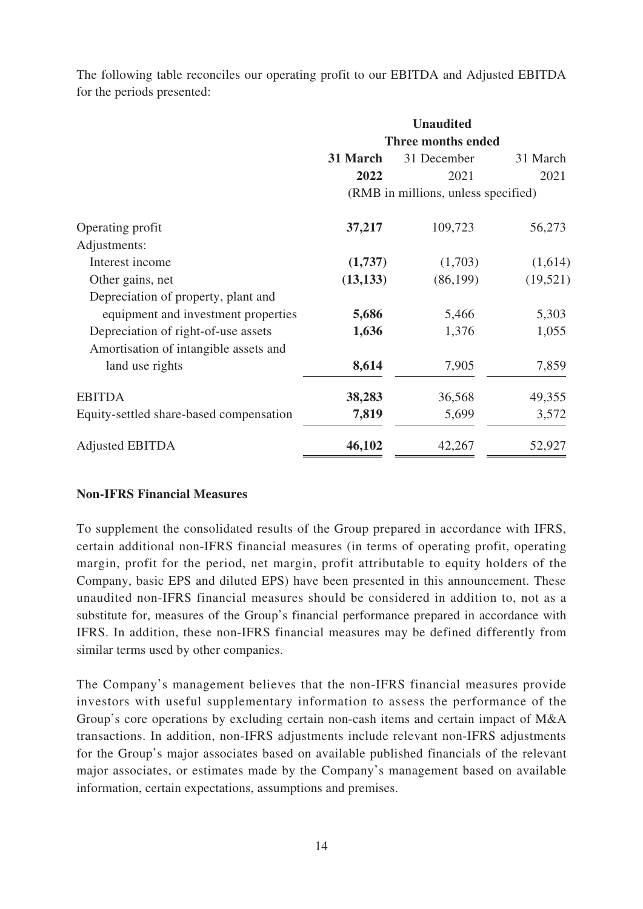The following table reconciles our operating profit to our EBITDA and Adjusted EBITDA for the periods presented:

|                                         |           | <b>Unaudited</b>                    |           |
|-----------------------------------------|-----------|-------------------------------------|-----------|
|                                         |           | Three months ended                  |           |
|                                         | 31 March  | 31 December                         | 31 March  |
|                                         | 2022      | 2021                                | 2021      |
|                                         |           | (RMB in millions, unless specified) |           |
| Operating profit                        | 37,217    | 109,723                             | 56,273    |
| Adjustments:                            |           |                                     |           |
| Interest income                         | (1,737)   | (1,703)                             | (1,614)   |
| Other gains, net                        | (13, 133) | (86, 199)                           | (19, 521) |
| Depreciation of property, plant and     |           |                                     |           |
| equipment and investment properties     | 5,686     | 5,466                               | 5,303     |
| Depreciation of right-of-use assets     | 1,636     | 1,376                               | 1,055     |
| Amortisation of intangible assets and   |           |                                     |           |
| land use rights                         | 8,614     | 7,905                               | 7,859     |
| <b>EBITDA</b>                           | 38,283    | 36,568                              | 49,355    |
| Equity-settled share-based compensation | 7,819     | 5,699                               | 3,572     |
| <b>Adjusted EBITDA</b>                  | 46,102    | 42,267                              | 52,927    |

# **Non-IFRS Financial Measures**

To supplement the consolidated results of the Group prepared in accordance with IFRS, certain additional non-IFRS financial measures (in terms of operating profit, operating margin, profit for the period, net margin, profit attributable to equity holders of the Company, basic EPS and diluted EPS) have been presented in this announcement. These unaudited non-IFRS financial measures should be considered in addition to, not as a substitute for, measures of the Group's financial performance prepared in accordance with IFRS. In addition, these non-IFRS financial measures may be defined differently from similar terms used by other companies.

The Company's management believes that the non-IFRS financial measures provide investors with useful supplementary information to assess the performance of the Group's core operations by excluding certain non-cash items and certain impact of M&A transactions. In addition, non-IFRS adjustments include relevant non-IFRS adjustments for the Group's major associates based on available published financials of the relevant major associates, or estimates made by the Company's management based on available information, certain expectations, assumptions and premises.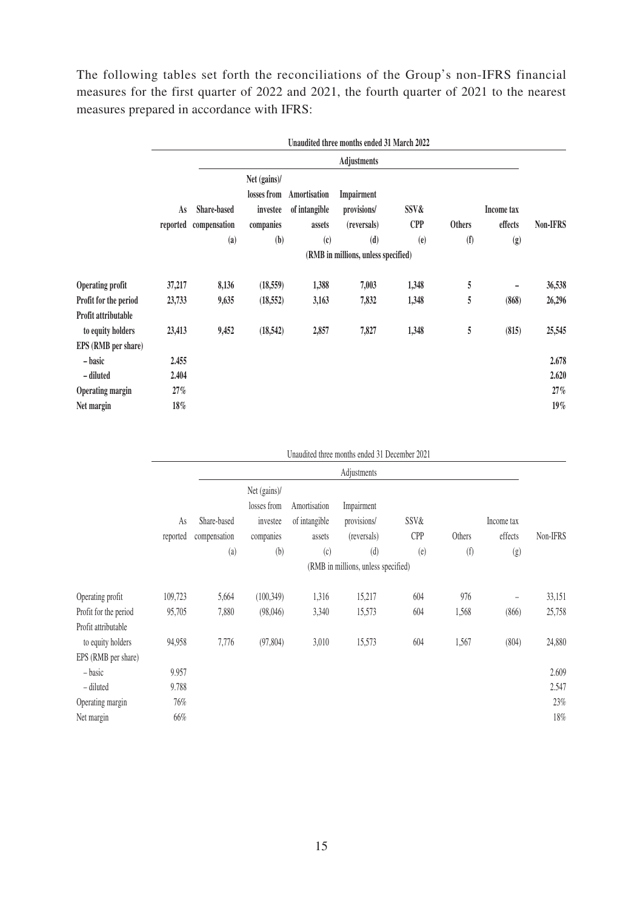The following tables set forth the reconciliations of the Group's non-IFRS financial measures for the first quarter of 2022 and 2021, the fourth quarter of 2021 to the nearest measures prepared in accordance with IFRS:

|                         |          |                                     |                                         |                               | Unaudited three months ended 31 March 2022 |            |               |                           |          |  |  |  |
|-------------------------|----------|-------------------------------------|-----------------------------------------|-------------------------------|--------------------------------------------|------------|---------------|---------------------------|----------|--|--|--|
|                         |          |                                     |                                         |                               | <b>Adjustments</b>                         |            |               |                           |          |  |  |  |
|                         | As       | Share-based                         | Net (gains)/<br>losses from<br>investee | Amortisation<br>of intangible | Impairment<br>provisions/                  | SSV&       |               | Income tax                |          |  |  |  |
|                         | reported | compensation                        | companies                               | assets                        | (reversals)                                | <b>CPP</b> | <b>Others</b> | effects                   | Non-IFRS |  |  |  |
|                         |          | (a)                                 | (b)                                     | $\left( \mathbf{c}\right)$    | (d)                                        | (e)        | (f)           | $\left(\mathbf{g}\right)$ |          |  |  |  |
|                         |          | (RMB in millions, unless specified) |                                         |                               |                                            |            |               |                           |          |  |  |  |
| <b>Operating profit</b> | 37,217   | 8,136                               | (18, 559)                               | 1,388                         | 7,003                                      | 1,348      | 5             | -                         | 36,538   |  |  |  |
| Profit for the period   | 23,733   | 9,635                               | (18, 552)                               | 3,163                         | 7,832                                      | 1,348      | 5             | (868)                     | 26,296   |  |  |  |
| Profit attributable     |          |                                     |                                         |                               |                                            |            |               |                           |          |  |  |  |
| to equity holders       | 23,413   | 9,452                               | (18, 542)                               | 2,857                         | 7,827                                      | 1,348      | 5             | (815)                     | 25,545   |  |  |  |
| EPS (RMB per share)     |          |                                     |                                         |                               |                                            |            |               |                           |          |  |  |  |
| – basic                 | 2.455    |                                     |                                         |                               |                                            |            |               |                           | 2.678    |  |  |  |
| - diluted               | 2.404    |                                     |                                         |                               |                                            |            |               |                           | 2.620    |  |  |  |
| <b>Operating margin</b> | $27\%$   |                                     |                                         |                               |                                            |            |               |                           | 27%      |  |  |  |
| Net margin              | $18\%$   |                                     |                                         |                               |                                            |            |               |                           | $19\%$   |  |  |  |

|  |  | Unaudited three months ended 31 December 2021 |  |
|--|--|-----------------------------------------------|--|
|  |  |                                               |  |

|                       |          |              |                                     |               | Adjustments |            |        |                           |          |  |  |
|-----------------------|----------|--------------|-------------------------------------|---------------|-------------|------------|--------|---------------------------|----------|--|--|
|                       |          |              | Net (gains)/                        |               |             |            |        |                           |          |  |  |
|                       |          |              | losses from                         | Amortisation  | Impairment  |            |        |                           |          |  |  |
|                       | As       | Share-based  | investee                            | of intangible | provisions/ | SSV&       |        | Income tax                |          |  |  |
|                       | reported | compensation | companies                           | assets        | (reversals) | <b>CPP</b> | Others | effects                   | Non-IFRS |  |  |
|                       |          | (a)          | (b)                                 | (c)           | (d)         | (e)        | (f)    | $\left( \text{g} \right)$ |          |  |  |
|                       |          |              | (RMB in millions, unless specified) |               |             |            |        |                           |          |  |  |
| Operating profit      | 109,723  | 5,664        | (100, 349)                          | 1,316         | 15,217      | 604        | 976    | $\overline{\phantom{0}}$  | 33,151   |  |  |
| Profit for the period | 95,705   | 7,880        | (98,046)                            | 3,340         | 15,573      | 604        | 1,568  | (866)                     | 25,758   |  |  |
| Profit attributable   |          |              |                                     |               |             |            |        |                           |          |  |  |
| to equity holders     | 94,958   | 7,776        | (97, 804)                           | 3,010         | 15,573      | 604        | 1,567  | (804)                     | 24,880   |  |  |
| EPS (RMB per share)   |          |              |                                     |               |             |            |        |                           |          |  |  |
| - basic               | 9.957    |              |                                     |               |             |            |        |                           | 2.609    |  |  |
| - diluted             | 9.788    |              |                                     |               |             |            |        |                           | 2.547    |  |  |
| Operating margin      | $76\%$   |              |                                     |               |             |            |        |                           | 23%      |  |  |
| Net margin            | 66%      |              |                                     |               |             |            |        |                           | 18%      |  |  |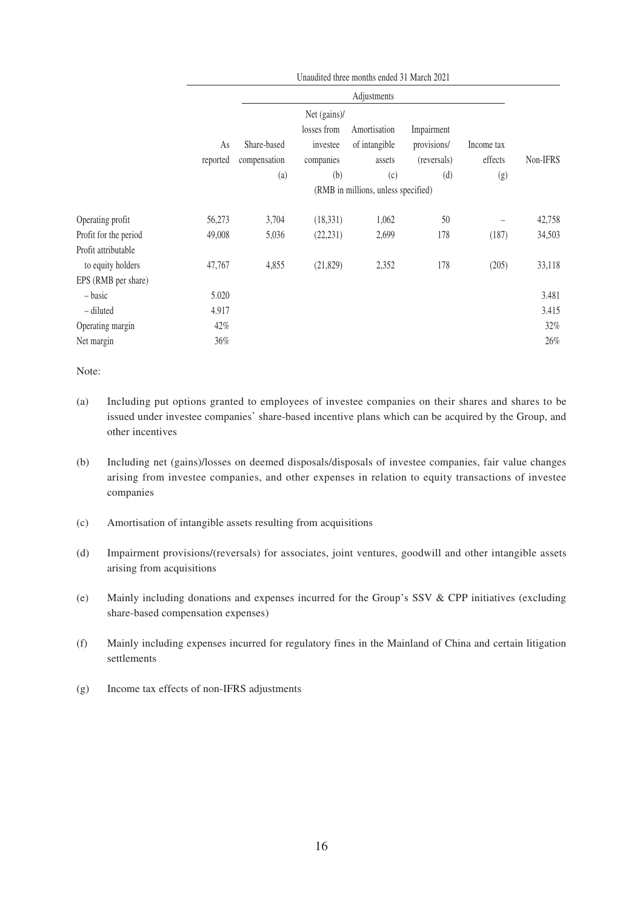|                       |          |              |              | Unaudited three months ended 31 March 2021 |             |            |          |
|-----------------------|----------|--------------|--------------|--------------------------------------------|-------------|------------|----------|
|                       |          |              |              | Adjustments                                |             |            |          |
|                       |          |              | Net (gains)/ |                                            |             |            |          |
|                       |          |              | losses from  | Amortisation                               | Impairment  |            |          |
|                       | As       | Share-based  | investee     | of intangible                              | provisions/ | Income tax |          |
|                       | reported | compensation | companies    | assets                                     | (reversals) | effects    | Non-IFRS |
|                       |          | (a)          | (b)          | (c)                                        | (d)         | (g)        |          |
|                       |          |              |              | (RMB in millions, unless specified)        |             |            |          |
| Operating profit      | 56,273   | 3,704        | (18, 331)    | 1,062                                      | 50          |            | 42,758   |
| Profit for the period | 49,008   | 5,036        | (22, 231)    | 2,699                                      | 178         | (187)      | 34,503   |
| Profit attributable   |          |              |              |                                            |             |            |          |
| to equity holders     | 47,767   | 4,855        | (21, 829)    | 2,352                                      | 178         | (205)      | 33,118   |
| EPS (RMB per share)   |          |              |              |                                            |             |            |          |
| - basic               | 5.020    |              |              |                                            |             |            | 3.481    |
| - diluted             | 4.917    |              |              |                                            |             |            | 3.415    |
| Operating margin      | 42%      |              |              |                                            |             |            | 32%      |
| Net margin            | 36%      |              |              |                                            |             |            | 26%      |
|                       |          |              |              |                                            |             |            |          |

Note:

- (a) Including put options granted to employees of investee companies on their shares and shares to be issued under investee companies' share-based incentive plans which can be acquired by the Group, and other incentives
- (b) Including net (gains)/losses on deemed disposals/disposals of investee companies, fair value changes arising from investee companies, and other expenses in relation to equity transactions of investee companies
- (c) Amortisation of intangible assets resulting from acquisitions
- (d) Impairment provisions/(reversals) for associates, joint ventures, goodwill and other intangible assets arising from acquisitions
- (e) Mainly including donations and expenses incurred for the Group's SSV & CPP initiatives (excluding share-based compensation expenses)
- (f) Mainly including expenses incurred for regulatory fines in the Mainland of China and certain litigation settlements
- (g) Income tax effects of non-IFRS adjustments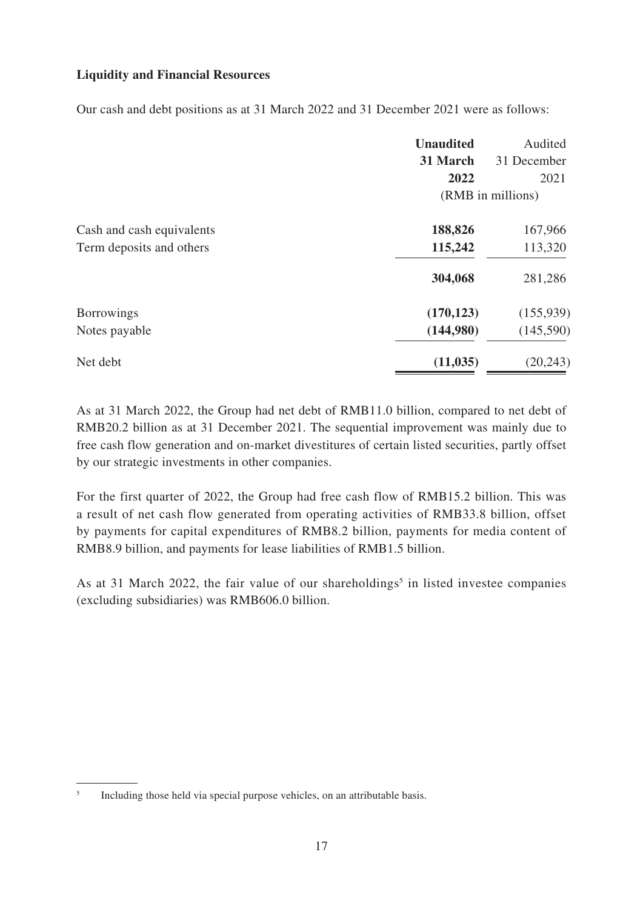# **Liquidity and Financial Resources**

Our cash and debt positions as at 31 March 2022 and 31 December 2021 were as follows:

|                           | <b>Unaudited</b><br>31 March | Audited<br>31 December |
|---------------------------|------------------------------|------------------------|
|                           | 2022                         | 2021                   |
|                           |                              | (RMB in millions)      |
| Cash and cash equivalents | 188,826                      | 167,966                |
| Term deposits and others  | 115,242                      | 113,320                |
|                           | 304,068                      | 281,286                |
| <b>Borrowings</b>         | (170, 123)                   | (155, 939)             |
| Notes payable             | (144,980)                    | (145,590)              |
| Net debt                  | (11, 035)                    | (20, 243)              |

As at 31 March 2022, the Group had net debt of RMB11.0 billion, compared to net debt of RMB20.2 billion as at 31 December 2021. The sequential improvement was mainly due to free cash flow generation and on-market divestitures of certain listed securities, partly offset by our strategic investments in other companies.

For the first quarter of 2022, the Group had free cash flow of RMB15.2 billion. This was a result of net cash flow generated from operating activities of RMB33.8 billion, offset by payments for capital expenditures of RMB8.2 billion, payments for media content of RMB8.9 billion, and payments for lease liabilities of RMB1.5 billion.

As at 31 March 2022, the fair value of our shareholdings<sup>5</sup> in listed investee companies (excluding subsidiaries) was RMB606.0 billion.

<sup>5</sup> Including those held via special purpose vehicles, on an attributable basis.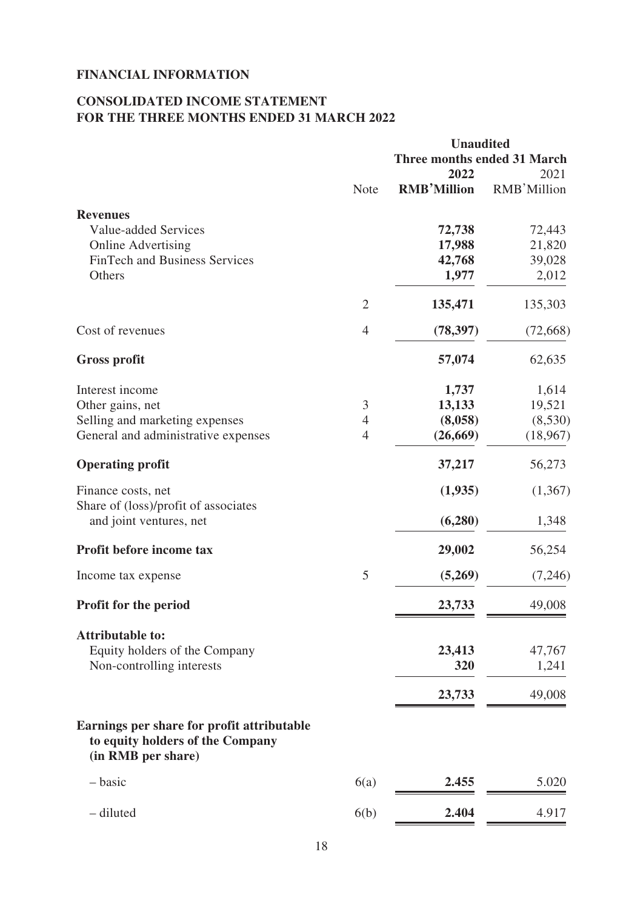# **FINANCIAL INFORMATION**

# **CONSOLIDATED INCOME STATEMENT FOR THE THREE MONTHS ENDED 31 MARCH 2022**

|                | <b>Unaudited</b>            |             |
|----------------|-----------------------------|-------------|
|                | Three months ended 31 March |             |
|                | 2022                        | 2021        |
| Note           | <b>RMB'Million</b>          | RMB'Million |
|                |                             |             |
|                | 72,738                      | 72,443      |
|                | 17,988                      | 21,820      |
|                | 42,768                      | 39,028      |
|                | 1,977                       | 2,012       |
| $\overline{2}$ | 135,471                     | 135,303     |
| 4              | (78, 397)                   | (72,668)    |
|                | 57,074                      | 62,635      |
|                |                             | 1,614       |
| 3              | 13,133                      | 19,521      |
| $\overline{4}$ | (8,058)                     | (8,530)     |
| $\overline{4}$ | (26, 669)                   | (18,967)    |
|                | 37,217                      | 56,273      |
|                | (1,935)                     | (1,367)     |
|                | (6,280)                     | 1,348       |
|                | 29,002                      | 56,254      |
| 5              | (5,269)                     | (7,246)     |
|                | 23,733                      | 49,008      |
|                |                             |             |
|                | 23,413                      | 47,767      |
|                | 320                         | 1,241       |
|                | 23,733                      | 49,008      |
|                |                             |             |
| 6(a)           | 2.455                       | 5.020       |
| 6(b)           | 2.404                       | 4.917       |
|                |                             | 1,737       |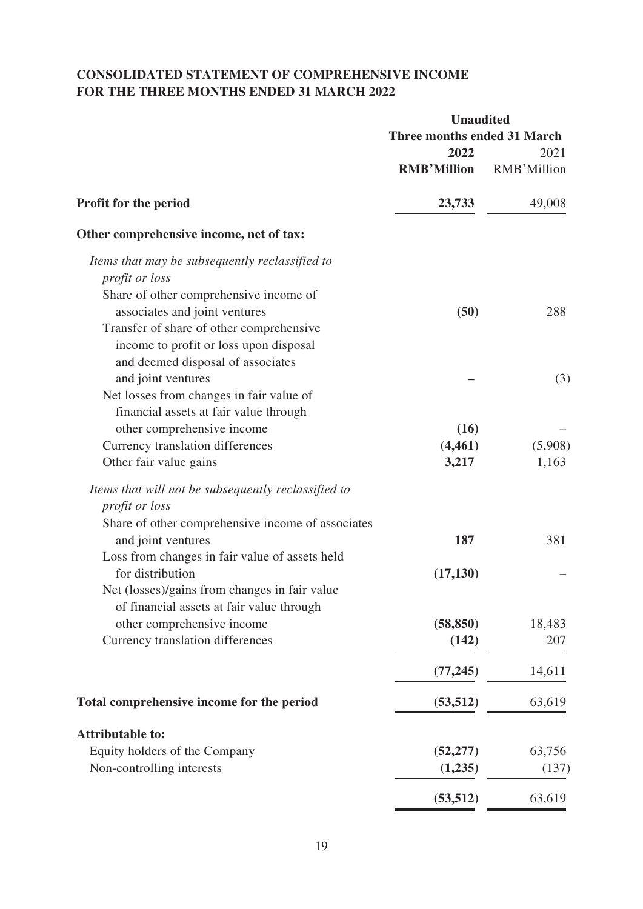# **CONSOLIDATED STATEMENT OF COMPREHENSIVE INCOME FOR THE THREE MONTHS ENDED 31 MARCH 2022**

|                                                     | <b>Unaudited</b>                   |             |  |
|-----------------------------------------------------|------------------------------------|-------------|--|
|                                                     | <b>Three months ended 31 March</b> |             |  |
|                                                     | 2022                               | 2021        |  |
|                                                     | <b>RMB'Million</b>                 | RMB'Million |  |
| Profit for the period                               | 23,733                             | 49,008      |  |
| Other comprehensive income, net of tax:             |                                    |             |  |
| Items that may be subsequently reclassified to      |                                    |             |  |
| profit or loss                                      |                                    |             |  |
| Share of other comprehensive income of              |                                    |             |  |
| associates and joint ventures                       | (50)                               | 288         |  |
| Transfer of share of other comprehensive            |                                    |             |  |
| income to profit or loss upon disposal              |                                    |             |  |
| and deemed disposal of associates                   |                                    |             |  |
| and joint ventures                                  |                                    | (3)         |  |
| Net losses from changes in fair value of            |                                    |             |  |
| financial assets at fair value through              |                                    |             |  |
| other comprehensive income                          | (16)                               |             |  |
| Currency translation differences                    | (4, 461)                           | (5,908)     |  |
| Other fair value gains                              | 3,217                              | 1,163       |  |
| Items that will not be subsequently reclassified to |                                    |             |  |
| <i>profit or loss</i>                               |                                    |             |  |
| Share of other comprehensive income of associates   |                                    |             |  |
| and joint ventures                                  | 187                                | 381         |  |
| Loss from changes in fair value of assets held      |                                    |             |  |
| for distribution                                    | (17, 130)                          |             |  |
| Net (losses)/gains from changes in fair value       |                                    |             |  |
| of financial assets at fair value through           |                                    |             |  |
| other comprehensive income                          | (58, 850)                          | 18,483      |  |
| Currency translation differences                    | (142)                              | 207         |  |
|                                                     | (77, 245)                          | 14,611      |  |
| Total comprehensive income for the period           | (53, 512)                          | 63,619      |  |
| <b>Attributable to:</b>                             |                                    |             |  |
| Equity holders of the Company                       | (52, 277)                          | 63,756      |  |
| Non-controlling interests                           | (1,235)                            | (137)       |  |
|                                                     | (53, 512)                          | 63,619      |  |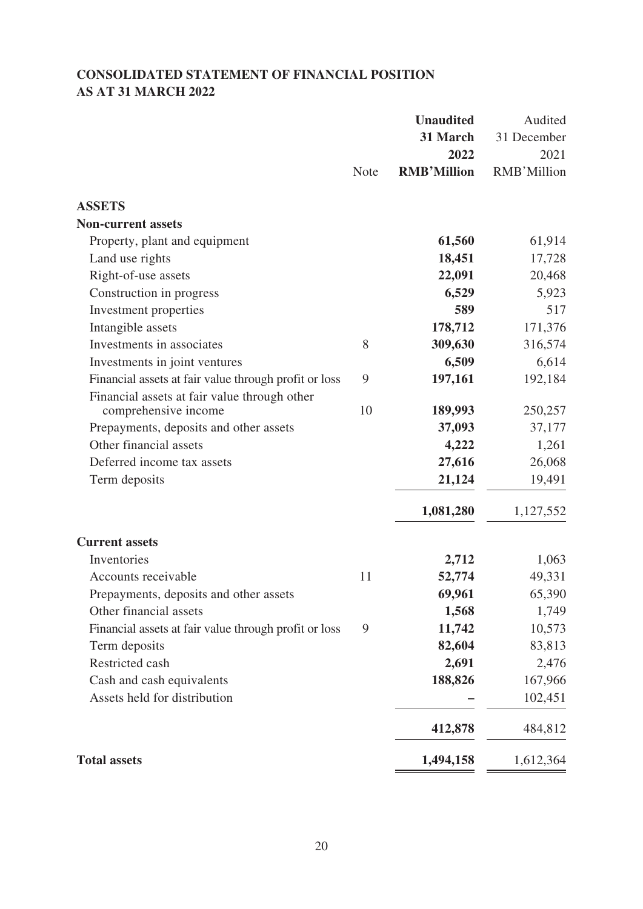# **CONSOLIDATED STATEMENT OF FINANCIAL POSITION AS AT 31 MARCH 2022**

|                                                                  |             | <b>Unaudited</b><br>31 March<br>2022 | Audited<br>31 December<br>2021 |
|------------------------------------------------------------------|-------------|--------------------------------------|--------------------------------|
|                                                                  | <b>Note</b> | <b>RMB'Million</b>                   | RMB'Million                    |
| <b>ASSETS</b>                                                    |             |                                      |                                |
| <b>Non-current assets</b>                                        |             |                                      |                                |
| Property, plant and equipment                                    |             | 61,560                               | 61,914                         |
| Land use rights                                                  |             | 18,451                               | 17,728                         |
| Right-of-use assets                                              |             | 22,091                               | 20,468                         |
| Construction in progress                                         |             | 6,529                                | 5,923                          |
| Investment properties                                            |             | 589                                  | 517                            |
| Intangible assets                                                |             | 178,712                              | 171,376                        |
| Investments in associates                                        | 8           | 309,630                              | 316,574                        |
| Investments in joint ventures                                    |             | 6,509                                | 6,614                          |
| Financial assets at fair value through profit or loss            | 9           | 197,161                              | 192,184                        |
| Financial assets at fair value through other                     | 10          |                                      |                                |
| comprehensive income                                             |             | 189,993                              | 250,257                        |
| Prepayments, deposits and other assets<br>Other financial assets |             | 37,093<br>4,222                      | 37,177                         |
| Deferred income tax assets                                       |             | 27,616                               | 1,261<br>26,068                |
| Term deposits                                                    |             | 21,124                               | 19,491                         |
|                                                                  |             |                                      |                                |
|                                                                  |             | 1,081,280                            | 1,127,552                      |
| <b>Current assets</b>                                            |             |                                      |                                |
| Inventories                                                      |             | 2,712                                | 1,063                          |
| Accounts receivable                                              | 11          | 52,774                               | 49,331                         |
| Prepayments, deposits and other assets                           |             | 69,961                               | 65,390                         |
| Other financial assets                                           |             | 1,568                                | 1,749                          |
| Financial assets at fair value through profit or loss            | 9           | 11,742                               | 10,573                         |
| Term deposits                                                    |             | 82,604                               | 83,813                         |
| Restricted cash                                                  |             | 2,691                                | 2,476                          |
| Cash and cash equivalents                                        |             | 188,826                              | 167,966                        |
| Assets held for distribution                                     |             |                                      | 102,451                        |
|                                                                  |             | 412,878                              | 484,812                        |
| <b>Total assets</b>                                              |             | 1,494,158                            | 1,612,364                      |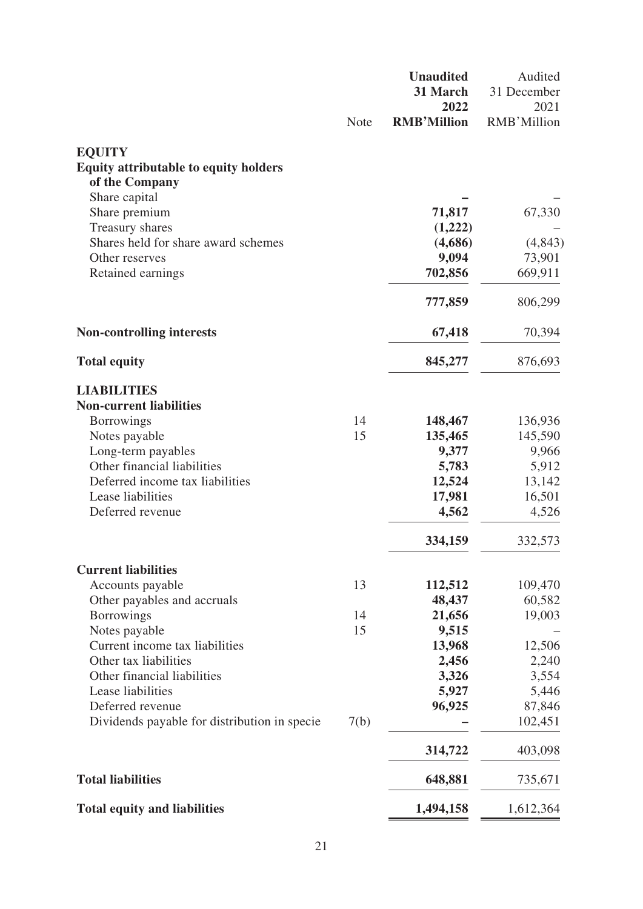|                                                  |             | <b>Unaudited</b><br>31 March | Audited             |
|--------------------------------------------------|-------------|------------------------------|---------------------|
|                                                  |             | 2022                         | 31 December<br>2021 |
|                                                  | <b>Note</b> | <b>RMB'Million</b>           | RMB'Million         |
| <b>EQUITY</b>                                    |             |                              |                     |
| <b>Equity attributable to equity holders</b>     |             |                              |                     |
| of the Company                                   |             |                              |                     |
| Share capital                                    |             |                              |                     |
| Share premium                                    |             | 71,817                       | 67,330              |
| Treasury shares                                  |             | (1,222)                      |                     |
| Shares held for share award schemes              |             | (4,686)                      | (4,843)             |
| Other reserves                                   |             | 9,094                        | 73,901              |
| Retained earnings                                |             | 702,856                      | 669,911             |
|                                                  |             | 777,859                      | 806,299             |
| <b>Non-controlling interests</b>                 |             | 67,418                       | 70,394              |
| <b>Total equity</b>                              |             | 845,277                      | 876,693             |
| <b>LIABILITIES</b>                               |             |                              |                     |
| <b>Non-current liabilities</b>                   |             |                              |                     |
| <b>Borrowings</b>                                | 14          | 148,467                      | 136,936             |
| Notes payable                                    | 15          | 135,465                      | 145,590             |
| Long-term payables                               |             | 9,377                        | 9,966               |
| Other financial liabilities                      |             | 5,783                        | 5,912               |
| Deferred income tax liabilities                  |             | 12,524                       | 13,142              |
| Lease liabilities                                |             | 17,981                       | 16,501              |
| Deferred revenue                                 |             | 4,562                        | 4,526               |
|                                                  |             | 334,159                      | 332,573             |
| <b>Current liabilities</b>                       |             |                              |                     |
| Accounts payable                                 | 13          | 112,512                      | 109,470             |
| Other payables and accruals<br><b>Borrowings</b> | 14          | 48,437<br>21,656             | 60,582<br>19,003    |
| Notes payable                                    | 15          | 9,515                        |                     |
| Current income tax liabilities                   |             | 13,968                       | 12,506              |
| Other tax liabilities                            |             | 2,456                        | 2,240               |
| Other financial liabilities                      |             | 3,326                        | 3,554               |
| Lease liabilities                                |             | 5,927                        | 5,446               |
| Deferred revenue                                 |             | 96,925                       | 87,846              |
| Dividends payable for distribution in specie     | 7(b)        |                              | 102,451             |
|                                                  |             | 314,722                      | 403,098             |
| <b>Total liabilities</b>                         |             | 648,881                      | 735,671             |
| <b>Total equity and liabilities</b>              |             | 1,494,158                    | 1,612,364           |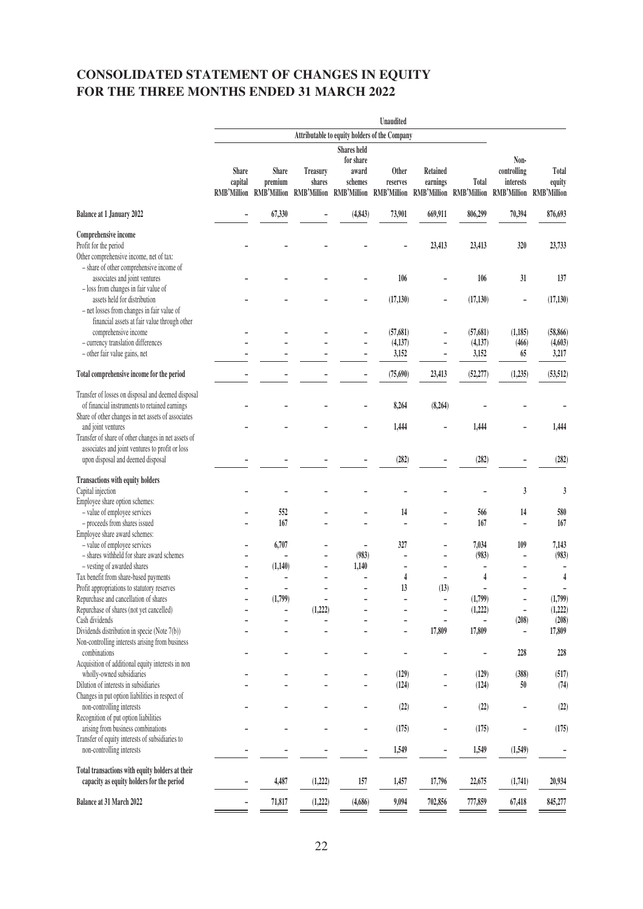# **CONSOLIDATED STATEMENT OF CHANGES IN EQUITY FOR THE THREE MONTHS ENDED 31 MARCH 2022**

|                                                                                                              | Unaudited                       |                                             |                           |                                                         |                          |                             |                                                          |                              |                       |
|--------------------------------------------------------------------------------------------------------------|---------------------------------|---------------------------------------------|---------------------------|---------------------------------------------------------|--------------------------|-----------------------------|----------------------------------------------------------|------------------------------|-----------------------|
|                                                                                                              |                                 |                                             |                           | Attributable to equity holders of the Company           |                          |                             |                                                          |                              |                       |
|                                                                                                              | <b>Shares</b> held<br>for share |                                             |                           |                                                         |                          |                             |                                                          | Non-                         |                       |
|                                                                                                              | <b>Share</b><br>capital         | Share<br>premium<br>RMB'Million RMB'Million | <b>Treasury</b><br>shares | award<br>schemes<br>RMB'Million RMB'Million RMB'Million | <b>Other</b><br>reserves | <b>Retained</b><br>earnings | Total<br>RMB'Million RMB'Million RMB'Million RMB'Million | controlling<br>interests     | Total<br>equity       |
| Balance at 1 January 2022                                                                                    |                                 | 67,330                                      |                           | (4, 843)                                                | 73,901                   | 669,911                     | 806,299                                                  | 70,394                       | 876,693               |
| Comprehensive income                                                                                         |                                 |                                             |                           |                                                         |                          |                             |                                                          |                              |                       |
| Profit for the period<br>Other comprehensive income, net of tax:<br>- share of other comprehensive income of |                                 |                                             |                           |                                                         |                          | 23,413                      | 23,413                                                   | 320                          | 23,733                |
| associates and joint ventures<br>- loss from changes in fair value of                                        |                                 |                                             |                           |                                                         | 106                      |                             | 106                                                      | 31                           | 137                   |
| assets held for distribution                                                                                 |                                 |                                             |                           |                                                         | (17, 130)                |                             | (17, 130)                                                | ÷                            | (17, 130)             |
| - net losses from changes in fair value of<br>financial assets at fair value through other                   |                                 |                                             |                           |                                                         |                          |                             |                                                          |                              |                       |
| comprehensive income<br>- currency translation differences                                                   |                                 |                                             |                           |                                                         | (57, 681)<br>(4, 137)    |                             | (57, 681)<br>(4, 137)                                    | (1,185)<br>(466)             | (58, 866)<br>(4, 603) |
| - other fair value gains, net                                                                                |                                 |                                             |                           |                                                         | 3,152                    |                             | 3,152                                                    | 65                           | 3,217                 |
| Total comprehensive income for the period                                                                    |                                 |                                             |                           |                                                         | (75,690)                 | 23,413                      | (52, 277)                                                | (1,235)                      | (53, 512)             |
| Transfer of losses on disposal and deemed disposal                                                           |                                 |                                             |                           |                                                         |                          |                             |                                                          |                              |                       |
| of financial instruments to retained earnings<br>Share of other changes in net assets of associates          |                                 |                                             |                           |                                                         | 8,264                    | (8, 264)                    |                                                          |                              |                       |
| and joint ventures                                                                                           |                                 |                                             |                           |                                                         | 1,444                    |                             | 1,444                                                    |                              | 1,444                 |
| Transfer of share of other changes in net assets of<br>associates and joint ventures to profit or loss       |                                 |                                             |                           |                                                         |                          |                             |                                                          |                              |                       |
| upon disposal and deemed disposal                                                                            |                                 |                                             |                           |                                                         | (282)                    |                             | (282)                                                    |                              | (282)                 |
| <b>Transactions with equity holders</b><br>Capital injection                                                 |                                 |                                             |                           |                                                         |                          |                             |                                                          | 3                            | 3                     |
| Employee share option schemes:                                                                               |                                 |                                             |                           |                                                         |                          |                             |                                                          |                              |                       |
| - value of employee services                                                                                 |                                 | 552<br>167                                  |                           |                                                         | 14                       |                             | 566<br>167                                               | 14                           | 580<br>167            |
| - proceeds from shares issued<br>Employee share award schemes:                                               |                                 |                                             |                           |                                                         |                          |                             |                                                          | ÷                            |                       |
| - value of employee services                                                                                 |                                 | 6,707                                       |                           | $\overline{a}$                                          | 327                      | ۰                           | 7,034                                                    | 109                          | 7,143                 |
| - shares withheld for share award schemes                                                                    |                                 |                                             |                           | (983)                                                   |                          |                             | (983)                                                    |                              | (983)                 |
| - vesting of awarded shares                                                                                  |                                 | (1,140)                                     | $\overline{\phantom{m}}$  | 1,140                                                   | $\overline{a}$           |                             |                                                          |                              |                       |
| Tax benefit from share-based payments                                                                        |                                 | ۳                                           |                           |                                                         | 4                        |                             | 4                                                        |                              | $\overline{4}$        |
| Profit appropriations to statutory reserves                                                                  |                                 |                                             |                           |                                                         | 13                       | (13)                        |                                                          |                              |                       |
| Repurchase and cancellation of shares                                                                        |                                 | (1,799)                                     |                           |                                                         |                          |                             | (1,799)                                                  |                              | (1,799)               |
| Repurchase of shares (not yet cancelled)                                                                     |                                 |                                             | (1,222)                   |                                                         |                          | ۰                           | (1,222)                                                  | $\qquad \qquad \blacksquare$ | (1,222)               |
| Cash dividends<br>Dividends distribution in specie (Note 7(b))                                               |                                 |                                             |                           |                                                         | $\overline{a}$           | 17,809                      | 17,809                                                   | (208)<br>-                   | (208)<br>17,809       |
| Non-controlling interests arising from business<br>combinations                                              |                                 |                                             |                           |                                                         |                          |                             |                                                          | 228                          | 228                   |
| Acquisition of additional equity interests in non                                                            |                                 |                                             |                           |                                                         |                          |                             |                                                          |                              |                       |
| wholly-owned subsidiaries                                                                                    |                                 |                                             |                           |                                                         | (129)                    |                             | (129)                                                    | (388)                        | (517)                 |
| Dilution of interests in subsidiaries<br>Changes in put option liabilities in respect of                     |                                 |                                             |                           |                                                         | (124)                    |                             | (124)                                                    | 50                           | (74)                  |
| non-controlling interests<br>Recognition of put option liabilities                                           |                                 |                                             |                           |                                                         | (22)                     |                             | (22)                                                     |                              | (22)                  |
| arising from business combinations                                                                           |                                 |                                             |                           |                                                         | (175)                    |                             | (175)                                                    | -                            | (175)                 |
| Transfer of equity interests of subsidiaries to<br>non-controlling interests                                 |                                 |                                             |                           |                                                         | 1,549                    |                             | 1,549                                                    | (1,549)                      |                       |
| Total transactions with equity holders at their                                                              |                                 |                                             |                           |                                                         |                          |                             |                                                          |                              |                       |
| capacity as equity holders for the period                                                                    |                                 | 4,487                                       | (1,222)                   | 157                                                     | 1,457                    | 17,796                      | 22,675                                                   | (1,741)                      | 20,934                |
| Balance at 31 March 2022                                                                                     |                                 | 71,817                                      | (1,222)                   | (4,686)                                                 | 9,094                    | 702,856                     | 777,859                                                  | 67,418                       | 845,277               |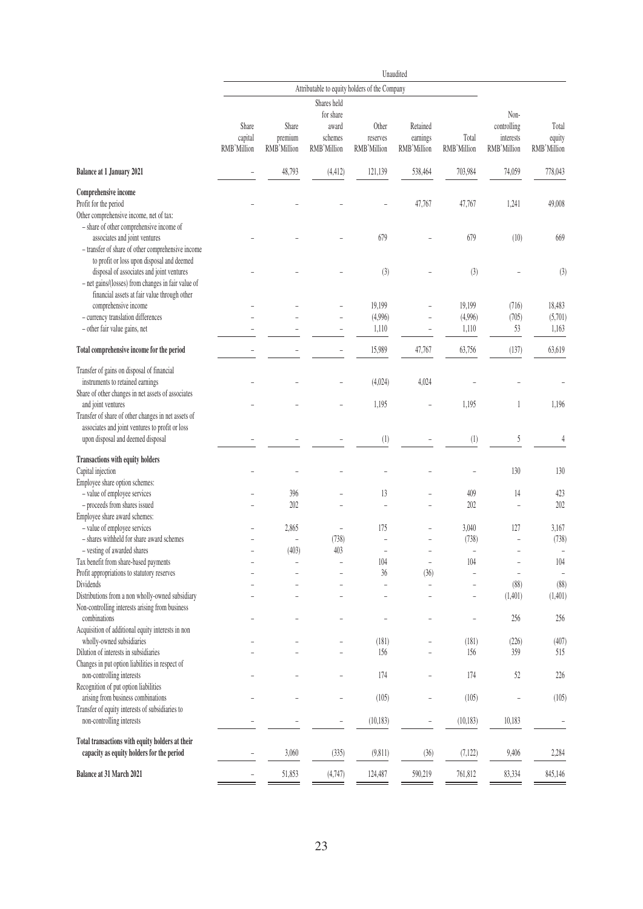|                                                                                                                                                 | Unaudited                       |                                               |                                 |                                  |                                     |                          |                                         |                                |
|-------------------------------------------------------------------------------------------------------------------------------------------------|---------------------------------|-----------------------------------------------|---------------------------------|----------------------------------|-------------------------------------|--------------------------|-----------------------------------------|--------------------------------|
|                                                                                                                                                 |                                 | Attributable to equity holders of the Company |                                 |                                  |                                     |                          |                                         |                                |
|                                                                                                                                                 |                                 |                                               | Shares held<br>for share        |                                  |                                     |                          | Non-                                    |                                |
|                                                                                                                                                 | Share<br>capital<br>RMB'Million | Share<br>premium<br>RMB'Million               | award<br>schemes<br>RMB'Million | Other<br>reserves<br>RMB'Million | Retained<br>earnings<br>RMB'Million | Total<br>RMB'Million     | controlling<br>interests<br>RMB'Million | Total<br>equity<br>RMB'Million |
| <b>Balance at 1 January 2021</b>                                                                                                                |                                 | 48,793                                        | (4, 412)                        | 121,139                          | 538,464                             | 703,984                  | 74,059                                  | 778,043                        |
| Comprehensive income<br>Profit for the period<br>Other comprehensive income, net of tax:<br>- share of other comprehensive income of            |                                 |                                               |                                 |                                  | 47,767                              | 47,767                   | 1,241                                   | 49,008                         |
| associates and joint ventures<br>- transfer of share of other comprehensive income<br>to profit or loss upon disposal and deemed                |                                 |                                               |                                 | 679                              |                                     | 679                      | (10)                                    | 669                            |
| disposal of associates and joint ventures<br>- net gains/(losses) from changes in fair value of<br>financial assets at fair value through other |                                 |                                               |                                 | (3)                              |                                     | (3)                      |                                         | (3)                            |
| comprehensive income                                                                                                                            |                                 |                                               |                                 | 19,199                           |                                     | 19,199                   | (716)                                   | 18,483                         |
| - currency translation differences                                                                                                              |                                 |                                               |                                 | (4,996)                          |                                     | (4,996)                  | (705)                                   | (5,701)                        |
| - other fair value gains, net                                                                                                                   |                                 |                                               |                                 | 1,110                            |                                     | 1,110                    | 53                                      | 1,163                          |
| Total comprehensive income for the period                                                                                                       |                                 |                                               |                                 | 15,989                           | 47,767                              | 63,756                   | (137)                                   | 63,619                         |
| Transfer of gains on disposal of financial<br>instruments to retained earnings<br>Share of other changes in net assets of associates            |                                 |                                               |                                 | (4,024)                          | 4,024                               |                          |                                         |                                |
| and joint ventures<br>Transfer of share of other changes in net assets of                                                                       |                                 |                                               |                                 | 1,195                            |                                     | 1,195                    | 1                                       | 1,196                          |
| associates and joint ventures to profit or loss<br>upon disposal and deemed disposal                                                            |                                 |                                               |                                 | (1)                              |                                     | (1)                      | 5                                       | $\overline{4}$                 |
| Transactions with equity holders<br>Capital injection<br>Employee share option schemes:                                                         |                                 |                                               |                                 |                                  |                                     |                          | 130                                     | 130                            |
| - value of employee services                                                                                                                    |                                 | 396                                           |                                 | 13                               |                                     | 409                      | 14                                      | 423                            |
| - proceeds from shares issued                                                                                                                   |                                 | 202                                           |                                 | $\overline{a}$                   |                                     | 202                      | $\overline{a}$                          | 202                            |
| Employee share award schemes:                                                                                                                   |                                 |                                               |                                 |                                  |                                     |                          |                                         |                                |
| - value of employee services                                                                                                                    |                                 | 2,865                                         | $\overline{a}$                  | 175                              |                                     | 3,040                    | 127                                     | 3,167                          |
| - shares withheld for share award schemes                                                                                                       |                                 |                                               | (738)                           |                                  |                                     | (738)                    |                                         | (738)                          |
| - vesting of awarded shares                                                                                                                     |                                 | (403)                                         | 403                             |                                  |                                     | $\overline{a}$           | L,                                      | ÷,                             |
| Tax benefit from share-based payments                                                                                                           |                                 |                                               |                                 | 104                              | $\overline{\phantom{a}}$            | 104                      | $\overline{\phantom{a}}$                | 104                            |
| Profit appropriations to statutory reserves                                                                                                     |                                 |                                               |                                 | 36                               | (36)                                |                          | $\overline{\phantom{0}}$                |                                |
| Dividends                                                                                                                                       |                                 |                                               |                                 | ÷,                               |                                     |                          | (88)                                    | (88)                           |
| Distributions from a non wholly-owned subsidiary<br>Non-controlling interests arising from business                                             |                                 |                                               |                                 |                                  |                                     | $\overline{\phantom{0}}$ | (1,401)                                 | (1,401)                        |
| combinations<br>Acquisition of additional equity interests in non                                                                               |                                 |                                               |                                 |                                  |                                     | $\overline{a}$           | 256                                     | 256                            |
| wholly-owned subsidiaries                                                                                                                       |                                 |                                               |                                 | (181)                            |                                     | (181)                    | (226)                                   | (407)                          |
| Dilution of interests in subsidiaries                                                                                                           |                                 |                                               |                                 | 156                              |                                     | 156                      | 359                                     | 515                            |
| Changes in put option liabilities in respect of<br>non-controlling interests                                                                    |                                 |                                               |                                 | 174                              |                                     | 174                      | 52                                      | 226                            |
| Recognition of put option liabilities<br>arising from business combinations                                                                     |                                 |                                               | ÷,                              | (105)                            | $\overline{\phantom{a}}$            | (105)                    | $\overline{a}$                          | (105)                          |
| Transfer of equity interests of subsidiaries to                                                                                                 |                                 |                                               |                                 |                                  |                                     |                          |                                         |                                |
| non-controlling interests                                                                                                                       |                                 |                                               | -                               | (10, 183)                        | -                                   | (10, 183)                | 10,183                                  |                                |
| Total transactions with equity holders at their<br>capacity as equity holders for the period                                                    |                                 | 3,060                                         | (335)                           | (9, 811)                         | (36)                                | (7, 122)                 | 9,406                                   | 2,284                          |
| Balance at 31 March 2021                                                                                                                        | $\overline{\phantom{0}}$        | 51,853                                        | (4,747)                         | 124,487                          | 590,219                             | 761,812                  | 83,334                                  | 845,146                        |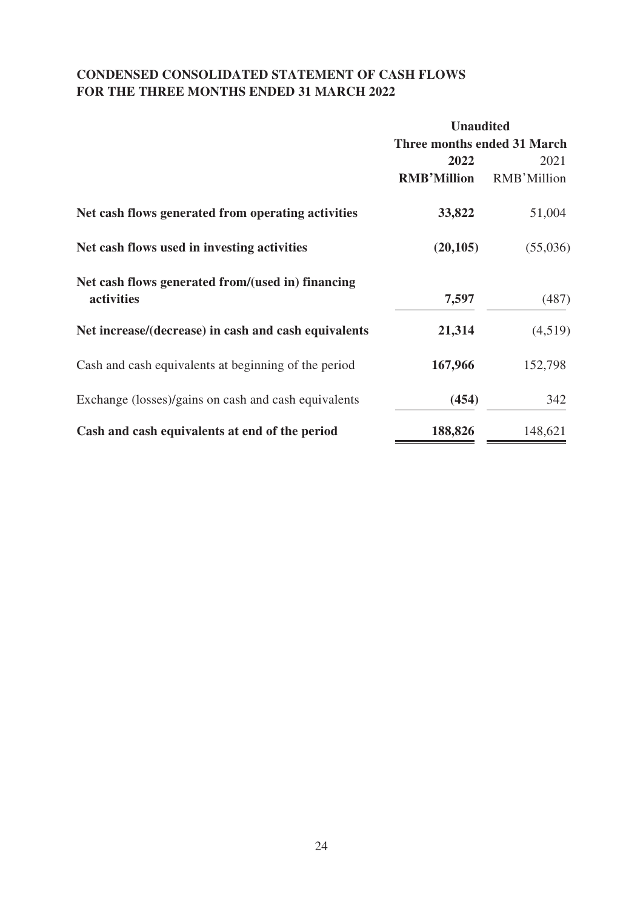# **CONDENSED CONSOLIDATED STATEMENT OF CASH FLOWS FOR THE THREE MONTHS ENDED 31 MARCH 2022**

|                                                      | <b>Unaudited</b>            |             |
|------------------------------------------------------|-----------------------------|-------------|
|                                                      | Three months ended 31 March |             |
|                                                      | 2022                        | 2021        |
|                                                      | <b>RMB'Million</b>          | RMB'Million |
| Net cash flows generated from operating activities   | 33,822                      | 51,004      |
| Net cash flows used in investing activities          | (20, 105)                   | (55,036)    |
| Net cash flows generated from/(used in) financing    |                             |             |
| activities                                           | 7,597                       | (487)       |
| Net increase/(decrease) in cash and cash equivalents | 21,314                      | (4,519)     |
| Cash and cash equivalents at beginning of the period | 167,966                     | 152,798     |
| Exchange (losses)/gains on cash and cash equivalents | (454)                       | 342         |
| Cash and cash equivalents at end of the period       | 188,826                     | 148,621     |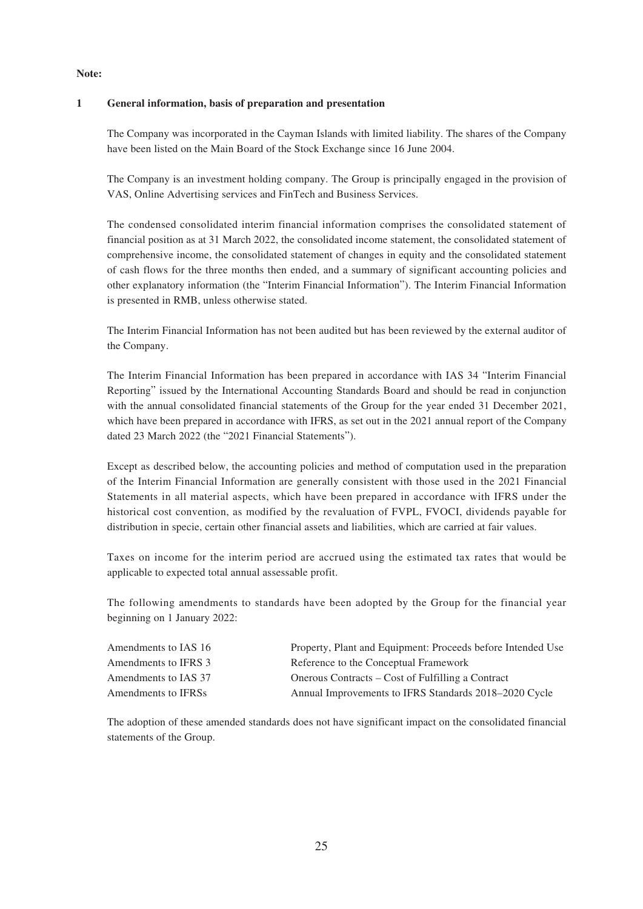## **Note:**

## **1 General information, basis of preparation and presentation**

The Company was incorporated in the Cayman Islands with limited liability. The shares of the Company have been listed on the Main Board of the Stock Exchange since 16 June 2004.

The Company is an investment holding company. The Group is principally engaged in the provision of VAS, Online Advertising services and FinTech and Business Services.

The condensed consolidated interim financial information comprises the consolidated statement of financial position as at 31 March 2022, the consolidated income statement, the consolidated statement of comprehensive income, the consolidated statement of changes in equity and the consolidated statement of cash flows for the three months then ended, and a summary of significant accounting policies and other explanatory information (the "Interim Financial Information"). The Interim Financial Information is presented in RMB, unless otherwise stated.

The Interim Financial Information has not been audited but has been reviewed by the external auditor of the Company.

The Interim Financial Information has been prepared in accordance with IAS 34 "Interim Financial Reporting" issued by the International Accounting Standards Board and should be read in conjunction with the annual consolidated financial statements of the Group for the year ended 31 December 2021, which have been prepared in accordance with IFRS, as set out in the 2021 annual report of the Company dated 23 March 2022 (the "2021 Financial Statements").

Except as described below, the accounting policies and method of computation used in the preparation of the Interim Financial Information are generally consistent with those used in the 2021 Financial Statements in all material aspects, which have been prepared in accordance with IFRS under the historical cost convention, as modified by the revaluation of FVPL, FVOCI, dividends payable for distribution in specie, certain other financial assets and liabilities, which are carried at fair values.

Taxes on income for the interim period are accrued using the estimated tax rates that would be applicable to expected total annual assessable profit.

The following amendments to standards have been adopted by the Group for the financial year beginning on 1 January 2022:

| Amendments to IAS 16 | Property, Plant and Equipment: Proceeds before Intended Use |
|----------------------|-------------------------------------------------------------|
| Amendments to IFRS 3 | Reference to the Conceptual Framework                       |
| Amendments to IAS 37 | Onerous Contracts – Cost of Fulfilling a Contract           |
| Amendments to IFRSs  | Annual Improvements to IFRS Standards 2018–2020 Cycle       |

The adoption of these amended standards does not have significant impact on the consolidated financial statements of the Group.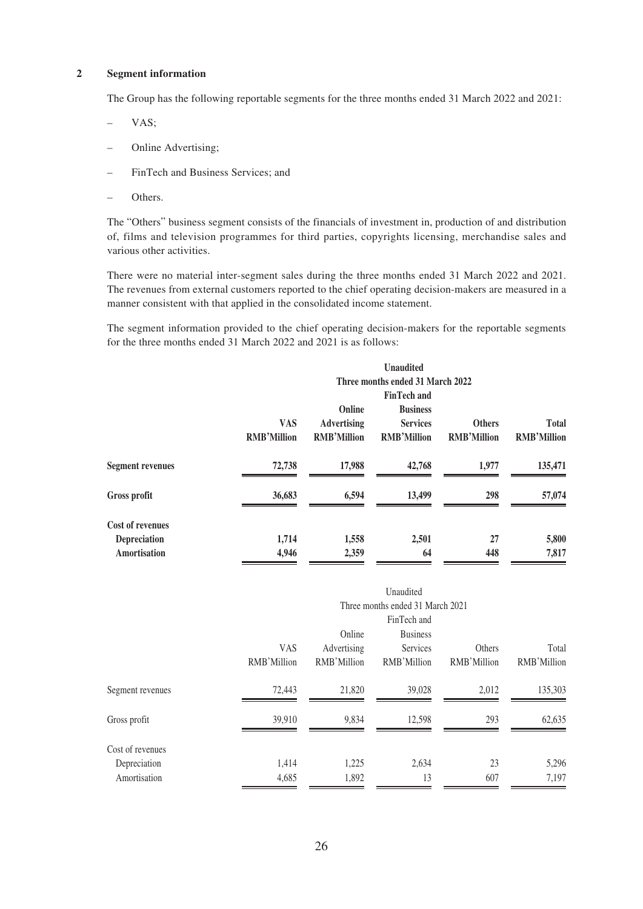### **2 Segment information**

The Group has the following reportable segments for the three months ended 31 March 2022 and 2021:

- VAS;
- Online Advertising;
- FinTech and Business Services; and
- Others.

The "Others" business segment consists of the financials of investment in, production of and distribution of, films and television programmes for third parties, copyrights licensing, merchandise sales and various other activities.

There were no material inter-segment sales during the three months ended 31 March 2022 and 2021. The revenues from external customers reported to the chief operating decision-makers are measured in a manner consistent with that applied in the consolidated income statement.

The segment information provided to the chief operating decision-makers for the reportable segments for the three months ended 31 March 2022 and 2021 is as follows:

|                                                                |                                  |                                                    | <b>Unaudited</b>                                                               |                                     |                                    |
|----------------------------------------------------------------|----------------------------------|----------------------------------------------------|--------------------------------------------------------------------------------|-------------------------------------|------------------------------------|
|                                                                |                                  |                                                    | Three months ended 31 March 2022                                               |                                     |                                    |
|                                                                | <b>VAS</b><br><b>RMB'Million</b> | Online<br><b>Advertising</b><br><b>RMB'Million</b> | <b>FinTech and</b><br><b>Business</b><br><b>Services</b><br><b>RMB'Million</b> | <b>Others</b><br><b>RMB'Million</b> | <b>Total</b><br><b>RMB'Million</b> |
| <b>Segment revenues</b>                                        | 72,738                           | 17,988                                             | 42,768                                                                         | 1,977                               | 135,471                            |
| Gross profit                                                   | 36,683                           | 6,594                                              | 13,499                                                                         | 298                                 | 57,074                             |
| <b>Cost of revenues</b><br><b>Depreciation</b><br>Amortisation | 1,714<br>4,946                   | 1,558<br>2,359                                     | 2,501<br>64                                                                    | 27<br>448                           | 5,800<br>7,817                     |

|                                                  | Unaudited<br>Three months ended 31 March 2021<br>FinTech and |                                      |                                            |                       |                      |  |  |
|--------------------------------------------------|--------------------------------------------------------------|--------------------------------------|--------------------------------------------|-----------------------|----------------------|--|--|
|                                                  | <b>VAS</b><br>RMB'Million                                    | Online<br>Advertising<br>RMB'Million | <b>Business</b><br>Services<br>RMB'Million | Others<br>RMB'Million | Total<br>RMB'Million |  |  |
| Segment revenues                                 | 72,443                                                       | 21,820                               | 39,028                                     | 2,012                 | 135,303              |  |  |
| Gross profit                                     | 39,910                                                       | 9,834                                | 12,598                                     | 293                   | 62,635               |  |  |
| Cost of revenues<br>Depreciation<br>Amortisation | 1,414<br>4,685                                               | 1,225<br>1,892                       | 2,634<br>13                                | 23<br>607             | 5,296<br>7,197       |  |  |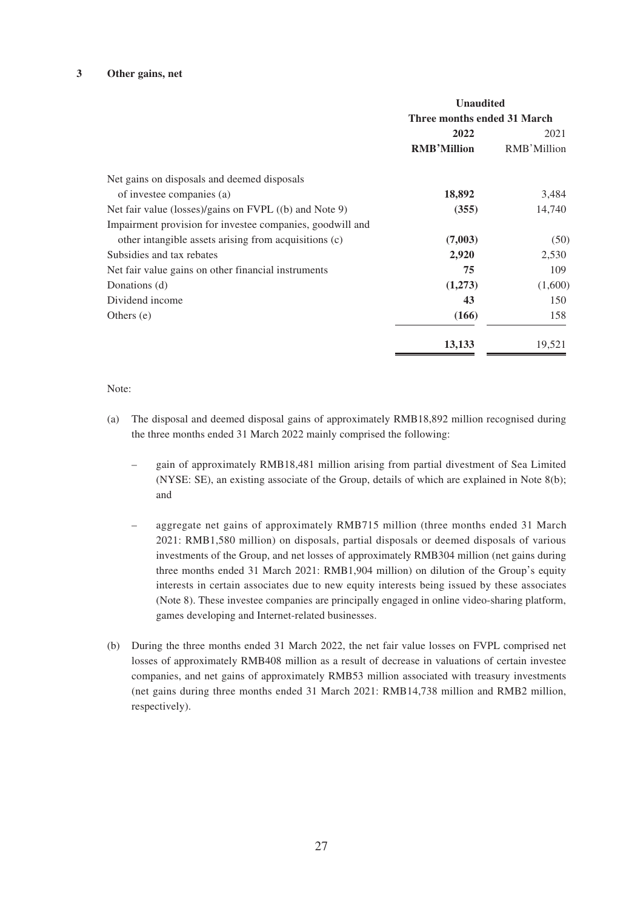#### **3 Other gains, net**

|                                                           | <b>Unaudited</b><br>Three months ended 31 March<br>2022<br>2021 |             |  |
|-----------------------------------------------------------|-----------------------------------------------------------------|-------------|--|
|                                                           |                                                                 |             |  |
|                                                           |                                                                 |             |  |
|                                                           | <b>RMB'Million</b>                                              | RMB'Million |  |
| Net gains on disposals and deemed disposals               |                                                                 |             |  |
| of investee companies (a)                                 | 18,892                                                          | 3,484       |  |
| Net fair value (losses)/gains on FVPL ((b) and Note 9)    | (355)                                                           | 14,740      |  |
| Impairment provision for investee companies, goodwill and |                                                                 |             |  |
| other intangible assets arising from acquisitions (c)     | (7,003)                                                         | (50)        |  |
| Subsidies and tax rebates                                 | 2,920                                                           | 2,530       |  |
| Net fair value gains on other financial instruments       | 75                                                              | 109         |  |
| Donations (d)                                             | (1,273)                                                         | (1,600)     |  |
| Dividend income                                           | 43                                                              | 150         |  |
| Others $(e)$                                              | (166)                                                           | 158         |  |
|                                                           | 13,133                                                          | 19,521      |  |

## Note:

- (a) The disposal and deemed disposal gains of approximately RMB18,892 million recognised during the three months ended 31 March 2022 mainly comprised the following:
	- gain of approximately RMB18,481 million arising from partial divestment of Sea Limited (NYSE: SE), an existing associate of the Group, details of which are explained in Note 8(b); and
	- aggregate net gains of approximately RMB715 million (three months ended 31 March 2021: RMB1,580 million) on disposals, partial disposals or deemed disposals of various investments of the Group, and net losses of approximately RMB304 million (net gains during three months ended 31 March 2021: RMB1,904 million) on dilution of the Group's equity interests in certain associates due to new equity interests being issued by these associates (Note 8). These investee companies are principally engaged in online video-sharing platform, games developing and Internet-related businesses.
- (b) During the three months ended 31 March 2022, the net fair value losses on FVPL comprised net losses of approximately RMB408 million as a result of decrease in valuations of certain investee companies, and net gains of approximately RMB53 million associated with treasury investments (net gains during three months ended 31 March 2021: RMB14,738 million and RMB2 million, respectively).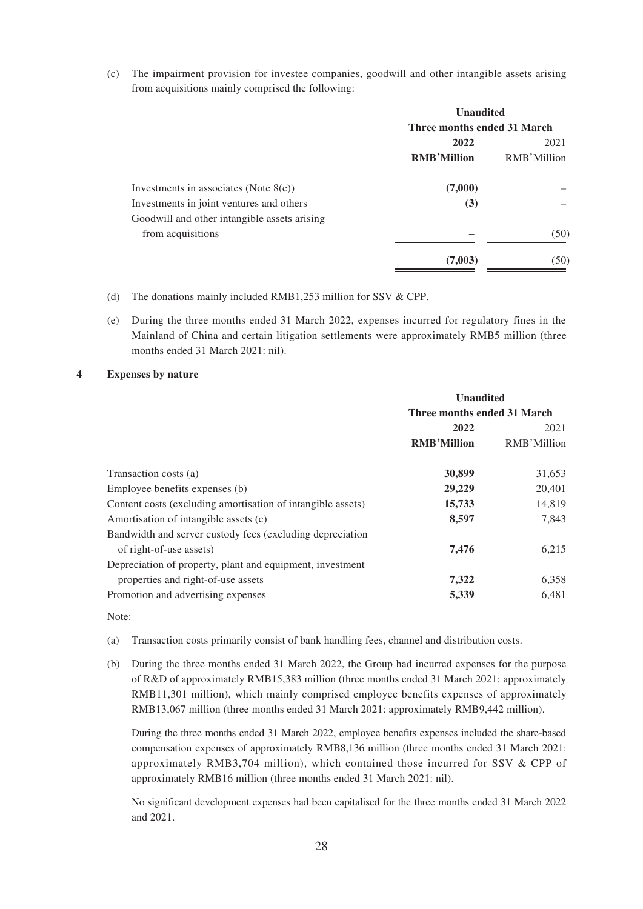(c) The impairment provision for investee companies, goodwill and other intangible assets arising from acquisitions mainly comprised the following:

|                                              | <b>Unaudited</b>            |             |
|----------------------------------------------|-----------------------------|-------------|
|                                              | Three months ended 31 March |             |
|                                              | 2022                        | 2021        |
|                                              | <b>RMB'Million</b>          | RMB'Million |
| Investments in associates (Note $8(c)$ )     | (7,000)                     |             |
| Investments in joint ventures and others     | (3)                         |             |
| Goodwill and other intangible assets arising |                             |             |
| from acquisitions                            |                             | (50)        |
|                                              | (7,003)                     | (50)        |

- (d) The donations mainly included RMB1,253 million for SSV & CPP.
- (e) During the three months ended 31 March 2022, expenses incurred for regulatory fines in the Mainland of China and certain litigation settlements were approximately RMB5 million (three months ended 31 March 2021: nil).

## **4 Expenses by nature**

|                                                             | <b>Unaudited</b>            |             |
|-------------------------------------------------------------|-----------------------------|-------------|
|                                                             | Three months ended 31 March |             |
|                                                             | 2022                        | 2021        |
|                                                             | <b>RMB'Million</b>          | RMB'Million |
| Transaction costs (a)                                       | 30,899                      | 31,653      |
| Employee benefits expenses (b)                              | 29,229                      | 20,401      |
| Content costs (excluding amortisation of intangible assets) | 15,733                      | 14,819      |
| Amortisation of intangible assets (c)                       | 8,597                       | 7,843       |
| Bandwidth and server custody fees (excluding depreciation   |                             |             |
| of right-of-use assets)                                     | 7,476                       | 6,215       |
| Depreciation of property, plant and equipment, investment   |                             |             |
| properties and right-of-use assets                          | 7,322                       | 6,358       |
| Promotion and advertising expenses                          | 5,339                       | 6,481       |

Note:

- (a) Transaction costs primarily consist of bank handling fees, channel and distribution costs.
- (b) During the three months ended 31 March 2022, the Group had incurred expenses for the purpose of R&D of approximately RMB15,383 million (three months ended 31 March 2021: approximately RMB11,301 million), which mainly comprised employee benefits expenses of approximately RMB13,067 million (three months ended 31 March 2021: approximately RMB9,442 million).

During the three months ended 31 March 2022, employee benefits expenses included the share-based compensation expenses of approximately RMB8,136 million (three months ended 31 March 2021: approximately RMB3,704 million), which contained those incurred for SSV & CPP of approximately RMB16 million (three months ended 31 March 2021: nil).

No significant development expenses had been capitalised for the three months ended 31 March 2022 and 2021.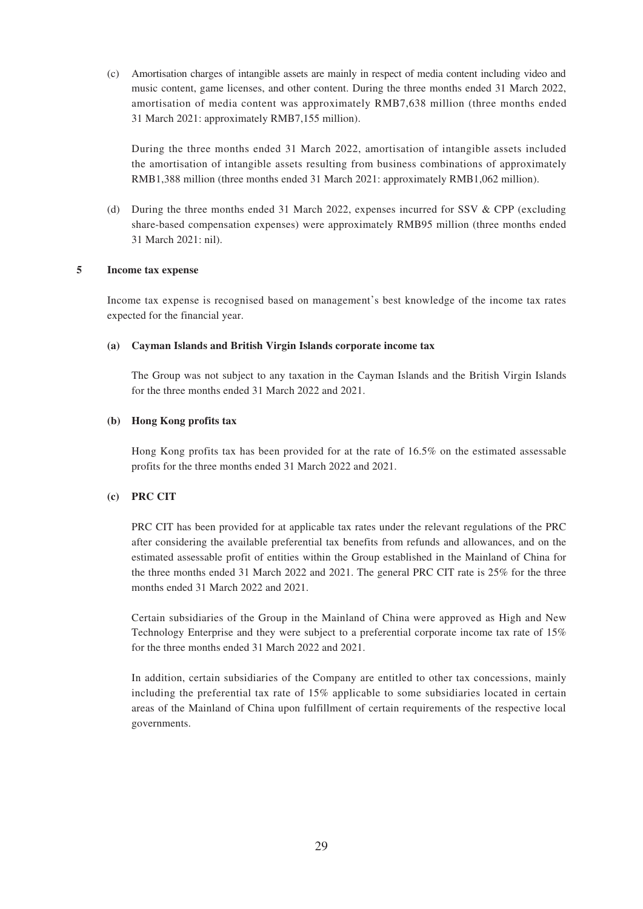(c) Amortisation charges of intangible assets are mainly in respect of media content including video and music content, game licenses, and other content. During the three months ended 31 March 2022, amortisation of media content was approximately RMB7,638 million (three months ended 31 March 2021: approximately RMB7,155 million).

During the three months ended 31 March 2022, amortisation of intangible assets included the amortisation of intangible assets resulting from business combinations of approximately RMB1,388 million (three months ended 31 March 2021: approximately RMB1,062 million).

(d) During the three months ended 31 March 2022, expenses incurred for SSV & CPP (excluding share-based compensation expenses) were approximately RMB95 million (three months ended 31 March 2021: nil).

## **5 Income tax expense**

Income tax expense is recognised based on management's best knowledge of the income tax rates expected for the financial year.

#### **(a) Cayman Islands and British Virgin Islands corporate income tax**

The Group was not subject to any taxation in the Cayman Islands and the British Virgin Islands for the three months ended 31 March 2022 and 2021.

## **(b) Hong Kong profits tax**

Hong Kong profits tax has been provided for at the rate of 16.5% on the estimated assessable profits for the three months ended 31 March 2022 and 2021.

## **(c) PRC CIT**

PRC CIT has been provided for at applicable tax rates under the relevant regulations of the PRC after considering the available preferential tax benefits from refunds and allowances, and on the estimated assessable profit of entities within the Group established in the Mainland of China for the three months ended 31 March 2022 and 2021. The general PRC CIT rate is 25% for the three months ended 31 March 2022 and 2021.

Certain subsidiaries of the Group in the Mainland of China were approved as High and New Technology Enterprise and they were subject to a preferential corporate income tax rate of 15% for the three months ended 31 March 2022 and 2021.

In addition, certain subsidiaries of the Company are entitled to other tax concessions, mainly including the preferential tax rate of 15% applicable to some subsidiaries located in certain areas of the Mainland of China upon fulfillment of certain requirements of the respective local governments.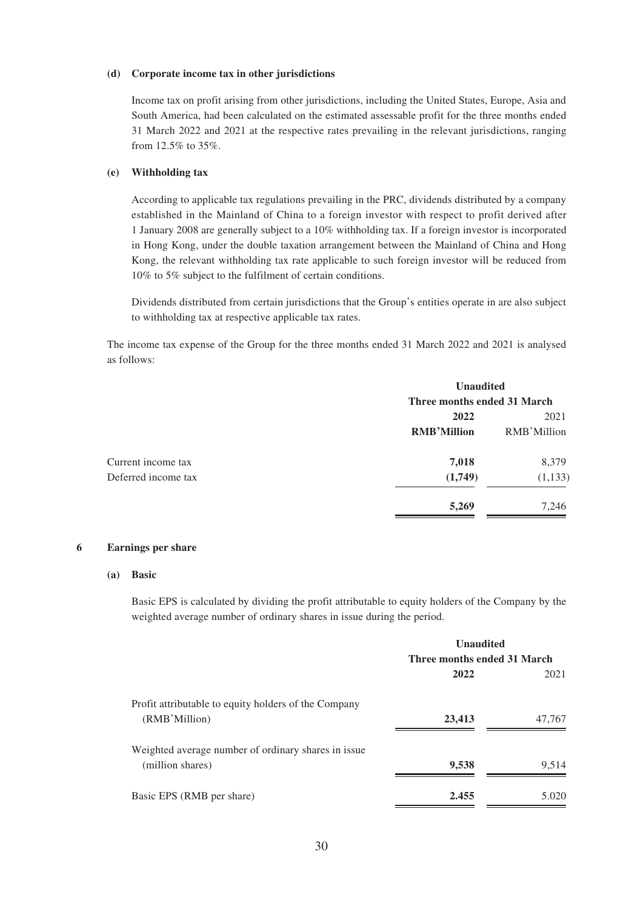#### **(d) Corporate income tax in other jurisdictions**

Income tax on profit arising from other jurisdictions, including the United States, Europe, Asia and South America, had been calculated on the estimated assessable profit for the three months ended 31 March 2022 and 2021 at the respective rates prevailing in the relevant jurisdictions, ranging from 12.5% to 35%.

### **(e) Withholding tax**

According to applicable tax regulations prevailing in the PRC, dividends distributed by a company established in the Mainland of China to a foreign investor with respect to profit derived after 1 January 2008 are generally subject to a 10% withholding tax. If a foreign investor is incorporated in Hong Kong, under the double taxation arrangement between the Mainland of China and Hong Kong, the relevant withholding tax rate applicable to such foreign investor will be reduced from 10% to 5% subject to the fulfilment of certain conditions.

Dividends distributed from certain jurisdictions that the Group's entities operate in are also subject to withholding tax at respective applicable tax rates.

The income tax expense of the Group for the three months ended 31 March 2022 and 2021 is analysed as follows:

| <b>Unaudited</b>            |             |
|-----------------------------|-------------|
| Three months ended 31 March |             |
| 2022                        | 2021        |
| <b>RMB'Million</b>          | RMB'Million |
| 7,018                       | 8,379       |
| (1,749)                     | (1, 133)    |
| 5,269                       | 7,246       |
|                             |             |

## **6 Earnings per share**

#### **(a) Basic**

Basic EPS is calculated by dividing the profit attributable to equity holders of the Company by the weighted average number of ordinary shares in issue during the period.

|                                                      | <b>Unaudited</b>            |        |
|------------------------------------------------------|-----------------------------|--------|
|                                                      | Three months ended 31 March |        |
|                                                      | 2022                        | 2021   |
| Profit attributable to equity holders of the Company |                             |        |
| (RMB'Million)                                        | 23,413                      | 47,767 |
| Weighted average number of ordinary shares in issue. |                             |        |
| (million shares)                                     | 9,538                       | 9,514  |
| Basic EPS (RMB per share)                            | 2.455                       | 5.020  |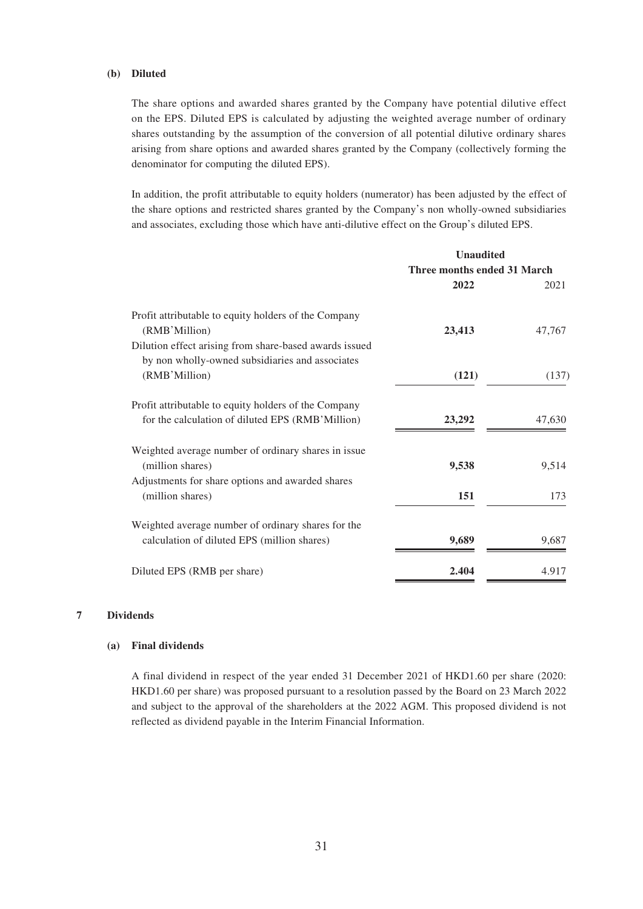## **(b) Diluted**

The share options and awarded shares granted by the Company have potential dilutive effect on the EPS. Diluted EPS is calculated by adjusting the weighted average number of ordinary shares outstanding by the assumption of the conversion of all potential dilutive ordinary shares arising from share options and awarded shares granted by the Company (collectively forming the denominator for computing the diluted EPS).

In addition, the profit attributable to equity holders (numerator) has been adjusted by the effect of the share options and restricted shares granted by the Company's non wholly-owned subsidiaries and associates, excluding those which have anti-dilutive effect on the Group's diluted EPS.

| <b>Unaudited</b>            |        |
|-----------------------------|--------|
| Three months ended 31 March |        |
| 2022                        | 2021   |
| 23,413                      | 47,767 |
|                             |        |
| (121)                       | (137)  |
|                             |        |
| 23,292                      | 47,630 |
| 9,538                       | 9,514  |
|                             |        |
| 151                         | 173    |
|                             |        |
| 9,689                       | 9.687  |
| 2.404                       | 4.917  |
|                             |        |

### **7 Dividends**

## **(a) Final dividends**

A final dividend in respect of the year ended 31 December 2021 of HKD1.60 per share (2020: HKD1.60 per share) was proposed pursuant to a resolution passed by the Board on 23 March 2022 and subject to the approval of the shareholders at the 2022 AGM. This proposed dividend is not reflected as dividend payable in the Interim Financial Information.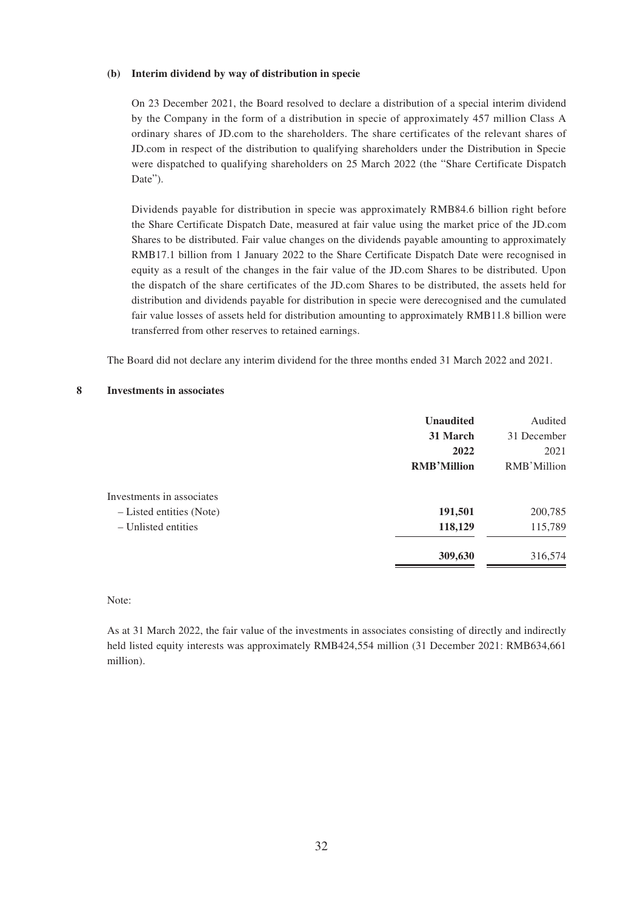#### **(b) Interim dividend by way of distribution in specie**

On 23 December 2021, the Board resolved to declare a distribution of a special interim dividend by the Company in the form of a distribution in specie of approximately 457 million Class A ordinary shares of JD.com to the shareholders. The share certificates of the relevant shares of JD.com in respect of the distribution to qualifying shareholders under the Distribution in Specie were dispatched to qualifying shareholders on 25 March 2022 (the "Share Certificate Dispatch Date").

Dividends payable for distribution in specie was approximately RMB84.6 billion right before the Share Certificate Dispatch Date, measured at fair value using the market price of the JD.com Shares to be distributed. Fair value changes on the dividends payable amounting to approximately RMB17.1 billion from 1 January 2022 to the Share Certificate Dispatch Date were recognised in equity as a result of the changes in the fair value of the JD.com Shares to be distributed. Upon the dispatch of the share certificates of the JD.com Shares to be distributed, the assets held for distribution and dividends payable for distribution in specie were derecognised and the cumulated fair value losses of assets held for distribution amounting to approximately RMB11.8 billion were transferred from other reserves to retained earnings.

The Board did not declare any interim dividend for the three months ended 31 March 2022 and 2021.

#### **8 Investments in associates**

|                           | <b>Unaudited</b>   | Audited     |
|---------------------------|--------------------|-------------|
|                           | 31 March           | 31 December |
|                           | 2022               | 2021        |
|                           | <b>RMB'Million</b> | RMB'Million |
| Investments in associates |                    |             |
| - Listed entities (Note)  | 191,501            | 200,785     |
| $-$ Unlisted entities     | 118,129            | 115,789     |
|                           | 309,630            | 316,574     |

## Note:

As at 31 March 2022, the fair value of the investments in associates consisting of directly and indirectly held listed equity interests was approximately RMB424,554 million (31 December 2021: RMB634,661 million).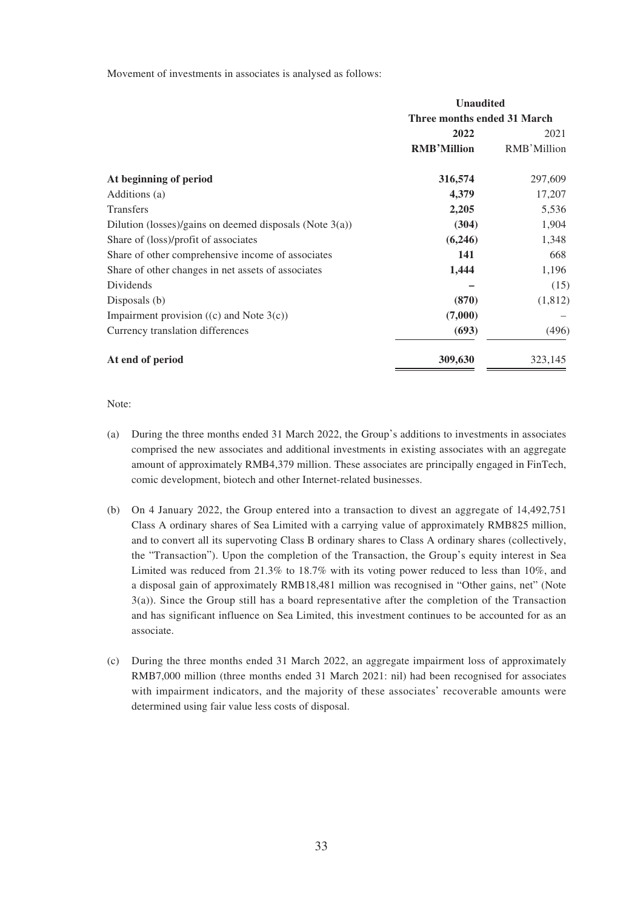Movement of investments in associates is analysed as follows:

|                                                            | <b>Unaudited</b>            |             |
|------------------------------------------------------------|-----------------------------|-------------|
|                                                            | Three months ended 31 March |             |
|                                                            | 2022                        | 2021        |
|                                                            | <b>RMB'Million</b>          | RMB'Million |
| At beginning of period                                     | 316,574                     | 297,609     |
| Additions (a)                                              | 4,379                       | 17,207      |
| <b>Transfers</b>                                           | 2,205                       | 5,536       |
| Dilution (losses)/gains on deemed disposals (Note $3(a)$ ) | (304)                       | 1,904       |
| Share of (loss)/profit of associates                       | (6,246)                     | 1,348       |
| Share of other comprehensive income of associates          | 141                         | 668         |
| Share of other changes in net assets of associates         | 1,444                       | 1,196       |
| Dividends                                                  |                             | (15)        |
| Disposals (b)                                              | (870)                       | (1, 812)    |
| Impairment provision $((c)$ and Note $3(c)$ )              | (7,000)                     |             |
| Currency translation differences                           | (693)                       | (496)       |
| At end of period                                           | 309,630                     | 323,145     |

Note:

- (a) During the three months ended 31 March 2022, the Group's additions to investments in associates comprised the new associates and additional investments in existing associates with an aggregate amount of approximately RMB4,379 million. These associates are principally engaged in FinTech, comic development, biotech and other Internet-related businesses.
- (b) On 4 January 2022, the Group entered into a transaction to divest an aggregate of 14,492,751 Class A ordinary shares of Sea Limited with a carrying value of approximately RMB825 million, and to convert all its supervoting Class B ordinary shares to Class A ordinary shares (collectively, the "Transaction"). Upon the completion of the Transaction, the Group's equity interest in Sea Limited was reduced from 21.3% to 18.7% with its voting power reduced to less than 10%, and a disposal gain of approximately RMB18,481 million was recognised in "Other gains, net" (Note 3(a)). Since the Group still has a board representative after the completion of the Transaction and has significant influence on Sea Limited, this investment continues to be accounted for as an associate.
- (c) During the three months ended 31 March 2022, an aggregate impairment loss of approximately RMB7,000 million (three months ended 31 March 2021: nil) had been recognised for associates with impairment indicators, and the majority of these associates' recoverable amounts were determined using fair value less costs of disposal.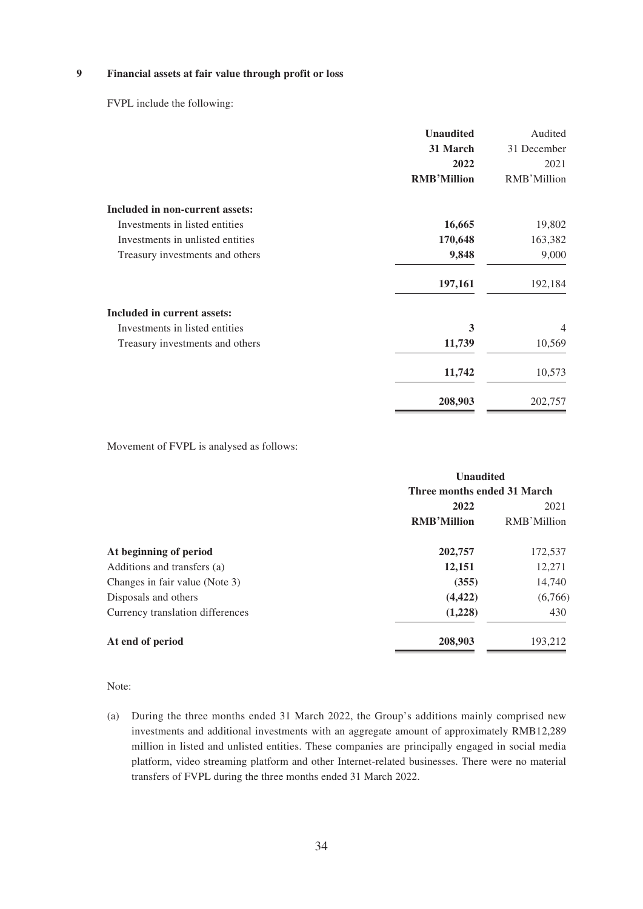### **9 Financial assets at fair value through profit or loss**

FVPL include the following:

|                                  | <b>Unaudited</b>   | Audited        |
|----------------------------------|--------------------|----------------|
|                                  | 31 March           | 31 December    |
|                                  | 2022               | 2021           |
|                                  | <b>RMB'Million</b> | RMB'Million    |
| Included in non-current assets:  |                    |                |
| Investments in listed entities   | 16,665             | 19,802         |
| Investments in unlisted entities | 170,648            | 163,382        |
| Treasury investments and others  | 9,848              | 9,000          |
|                                  | 197,161            | 192,184        |
| Included in current assets:      |                    |                |
| Investments in listed entities   | 3                  | $\overline{4}$ |
| Treasury investments and others  | 11,739             | 10,569         |
|                                  | 11,742             | 10,573         |
|                                  | 208,903            | 202,757        |

Movement of FVPL is analysed as follows:

|                                  | <b>Unaudited</b>            |             |
|----------------------------------|-----------------------------|-------------|
|                                  | Three months ended 31 March |             |
|                                  | 2022                        | 2021        |
|                                  | <b>RMB'Million</b>          | RMB'Million |
| At beginning of period           | 202,757                     | 172,537     |
| Additions and transfers (a)      | 12,151                      | 12,271      |
| Changes in fair value (Note 3)   | (355)                       | 14,740      |
| Disposals and others             | (4, 422)                    | (6,766)     |
| Currency translation differences | (1,228)                     | 430         |
| At end of period                 | 208,903                     | 193,212     |

Note:

(a) During the three months ended 31 March 2022, the Group's additions mainly comprised new investments and additional investments with an aggregate amount of approximately RMB12,289 million in listed and unlisted entities. These companies are principally engaged in social media platform, video streaming platform and other Internet-related businesses. There were no material transfers of FVPL during the three months ended 31 March 2022.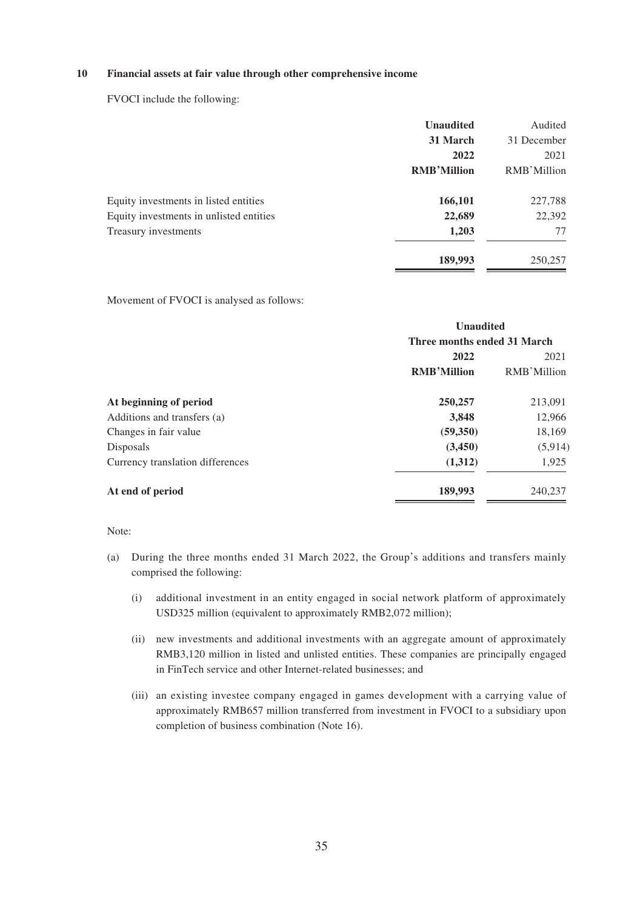### **10 Financial assets at fair value through other comprehensive income**

FVOCI include the following:

|                                         | <b>Unaudited</b>   | Audited     |
|-----------------------------------------|--------------------|-------------|
|                                         | 31 March           | 31 December |
|                                         | 2022               | 2021        |
|                                         | <b>RMB'Million</b> | RMB'Million |
| Equity investments in listed entities   | 166,101            | 227,788     |
| Equity investments in unlisted entities | 22,689             | 22,392      |
| Treasury investments                    | 1,203              | 77          |
|                                         | 189,993            | 250,257     |

Movement of FVOCI is analysed as follows:

|                                  | <b>Unaudited</b>            |             |
|----------------------------------|-----------------------------|-------------|
|                                  | Three months ended 31 March |             |
|                                  | 2022                        | 2021        |
|                                  | <b>RMB'Million</b>          | RMB'Million |
| At beginning of period           | 250,257                     | 213,091     |
| Additions and transfers (a)      | 3,848                       | 12,966      |
| Changes in fair value            | (59, 350)                   | 18,169      |
| Disposals                        | (3,450)                     | (5, 914)    |
| Currency translation differences | (1,312)                     | 1,925       |
| At end of period                 | 189,993                     | 240,237     |

### Note:

- (a) During the three months ended 31 March 2022, the Group's additions and transfers mainly comprised the following:
	- (i) additional investment in an entity engaged in social network platform of approximately USD325 million (equivalent to approximately RMB2,072 million);
	- (ii) new investments and additional investments with an aggregate amount of approximately RMB3,120 million in listed and unlisted entities. These companies are principally engaged in FinTech service and other Internet-related businesses; and
	- (iii) an existing investee company engaged in games development with a carrying value of approximately RMB657 million transferred from investment in FVOCI to a subsidiary upon completion of business combination (Note 16).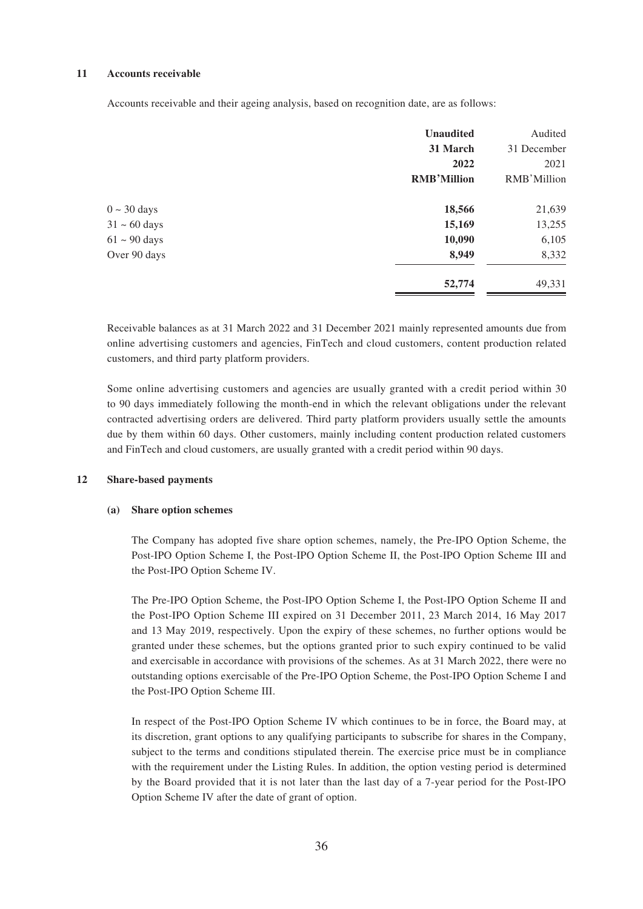#### **11 Accounts receivable**

Accounts receivable and their ageing analysis, based on recognition date, are as follows:

|                          | <b>Unaudited</b>   | Audited     |
|--------------------------|--------------------|-------------|
|                          | 31 March           | 31 December |
|                          | 2022               | 2021        |
|                          | <b>RMB'Million</b> | RMB'Million |
| $0 \sim 30 \text{ days}$ | 18,566             | 21,639      |
| $31 \sim 60$ days        | 15,169             | 13,255      |
| $61 \sim 90$ days        | 10,090             | 6,105       |
| Over 90 days             | 8,949              | 8,332       |
|                          | 52,774             | 49,331      |

Receivable balances as at 31 March 2022 and 31 December 2021 mainly represented amounts due from online advertising customers and agencies, FinTech and cloud customers, content production related customers, and third party platform providers.

Some online advertising customers and agencies are usually granted with a credit period within 30 to 90 days immediately following the month-end in which the relevant obligations under the relevant contracted advertising orders are delivered. Third party platform providers usually settle the amounts due by them within 60 days. Other customers, mainly including content production related customers and FinTech and cloud customers, are usually granted with a credit period within 90 days.

## **12 Share-based payments**

#### **(a) Share option schemes**

The Company has adopted five share option schemes, namely, the Pre-IPO Option Scheme, the Post-IPO Option Scheme I, the Post-IPO Option Scheme II, the Post-IPO Option Scheme III and the Post-IPO Option Scheme IV.

The Pre-IPO Option Scheme, the Post-IPO Option Scheme I, the Post-IPO Option Scheme II and the Post-IPO Option Scheme III expired on 31 December 2011, 23 March 2014, 16 May 2017 and 13 May 2019, respectively. Upon the expiry of these schemes, no further options would be granted under these schemes, but the options granted prior to such expiry continued to be valid and exercisable in accordance with provisions of the schemes. As at 31 March 2022, there were no outstanding options exercisable of the Pre-IPO Option Scheme, the Post-IPO Option Scheme I and the Post-IPO Option Scheme III.

In respect of the Post-IPO Option Scheme IV which continues to be in force, the Board may, at its discretion, grant options to any qualifying participants to subscribe for shares in the Company, subject to the terms and conditions stipulated therein. The exercise price must be in compliance with the requirement under the Listing Rules. In addition, the option vesting period is determined by the Board provided that it is not later than the last day of a 7-year period for the Post-IPO Option Scheme IV after the date of grant of option.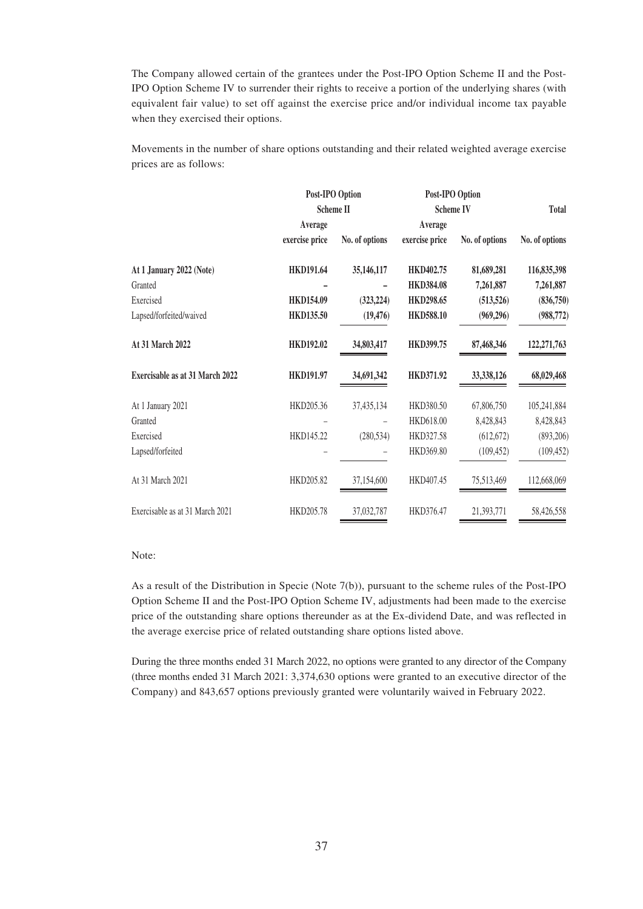The Company allowed certain of the grantees under the Post-IPO Option Scheme II and the Post-IPO Option Scheme IV to surrender their rights to receive a portion of the underlying shares (with equivalent fair value) to set off against the exercise price and/or individual income tax payable when they exercised their options.

Movements in the number of share options outstanding and their related weighted average exercise prices are as follows:

|                                 | Post-IPO Option  |                | Post-IPO Option  |                |                |  |
|---------------------------------|------------------|----------------|------------------|----------------|----------------|--|
|                                 | <b>Scheme II</b> |                | <b>Scheme IV</b> |                | <b>Total</b>   |  |
|                                 | Average          |                | Average          |                |                |  |
|                                 | exercise price   | No. of options | exercise price   | No. of options | No. of options |  |
| At 1 January 2022 (Note)        | <b>HKD191.64</b> | 35,146,117     | HKD402.75        | 81,689,281     | 116,835,398    |  |
| Granted                         |                  |                | <b>HKD384.08</b> | 7,261,887      | 7,261,887      |  |
| Exercised                       | <b>HKD154.09</b> | (323, 224)     | <b>HKD298.65</b> | (513, 526)     | (836,750)      |  |
| Lapsed/forfeited/waived         | <b>HKD135.50</b> | (19, 476)      | <b>HKD588.10</b> | (969, 296)     | (988, 772)     |  |
| At 31 March 2022                | <b>HKD192.02</b> | 34,803,417     | <b>HKD399.75</b> | 87,468,346     | 122, 271, 763  |  |
| Exercisable as at 31 March 2022 | <b>HKD191.97</b> | 34,691,342     | <b>HKD371.92</b> | 33,338,126     | 68,029,468     |  |
| At 1 January 2021               | HKD205.36        | 37,435,134     | HKD380.50        | 67,806,750     | 105,241,884    |  |
| Granted                         |                  |                | HKD618.00        | 8,428,843      | 8,428,843      |  |
| Exercised                       | HKD145.22        | (280, 534)     | HKD327.58        | (612, 672)     | (893,206)      |  |
| Lapsed/forfeited                |                  |                | HKD369.80        | (109, 452)     | (109, 452)     |  |
| At 31 March 2021                | HKD205.82        | 37,154,600     | HKD407.45        | 75,513,469     | 112,668,069    |  |
| Exercisable as at 31 March 2021 | HKD205.78        | 37,032,787     | HKD376.47        | 21,393,771     | 58,426,558     |  |

#### Note:

As a result of the Distribution in Specie (Note 7(b)), pursuant to the scheme rules of the Post-IPO Option Scheme II and the Post-IPO Option Scheme IV, adjustments had been made to the exercise price of the outstanding share options thereunder as at the Ex-dividend Date, and was reflected in the average exercise price of related outstanding share options listed above.

During the three months ended 31 March 2022, no options were granted to any director of the Company (three months ended 31 March 2021: 3,374,630 options were granted to an executive director of the Company) and 843,657 options previously granted were voluntarily waived in February 2022.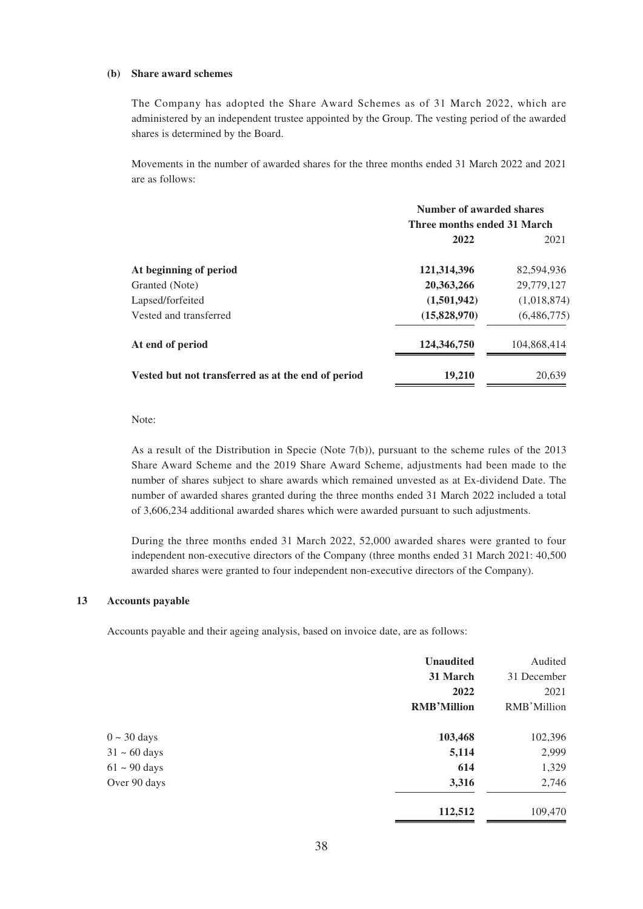#### **(b) Share award schemes**

The Company has adopted the Share Award Schemes as of 31 March 2022, which are administered by an independent trustee appointed by the Group. The vesting period of the awarded shares is determined by the Board.

Movements in the number of awarded shares for the three months ended 31 March 2022 and 2021 are as follows:

|                                                    | Number of awarded shares    |             |  |
|----------------------------------------------------|-----------------------------|-------------|--|
|                                                    | Three months ended 31 March |             |  |
|                                                    | 2022                        | 2021        |  |
| At beginning of period                             | 121,314,396                 | 82,594,936  |  |
| Granted (Note)                                     | 20,363,266                  | 29,779,127  |  |
| Lapsed/forfeited                                   | (1,501,942)                 | (1,018,874) |  |
| Vested and transferred                             | (15,828,970)                | (6,486,775) |  |
| At end of period                                   | 124,346,750                 | 104,868,414 |  |
| Vested but not transferred as at the end of period | 19,210                      | 20.639      |  |

Note:

As a result of the Distribution in Specie (Note 7(b)), pursuant to the scheme rules of the 2013 Share Award Scheme and the 2019 Share Award Scheme, adjustments had been made to the number of shares subject to share awards which remained unvested as at Ex-dividend Date. The number of awarded shares granted during the three months ended 31 March 2022 included a total of 3,606,234 additional awarded shares which were awarded pursuant to such adjustments.

During the three months ended 31 March 2022, 52,000 awarded shares were granted to four independent non-executive directors of the Company (three months ended 31 March 2021: 40,500 awarded shares were granted to four independent non-executive directors of the Company).

## **13 Accounts payable**

Accounts payable and their ageing analysis, based on invoice date, are as follows:

|                   | <b>Unaudited</b>   | Audited     |
|-------------------|--------------------|-------------|
|                   | 31 March           | 31 December |
|                   | 2022               | 2021        |
|                   | <b>RMB'Million</b> | RMB'Million |
| $0 \sim 30$ days  | 103,468            | 102,396     |
| $31 \sim 60$ days | 5,114              | 2,999       |
| $61 \sim 90$ days | 614                | 1,329       |
| Over 90 days      | 3,316              | 2,746       |
|                   | 112,512            | 109,470     |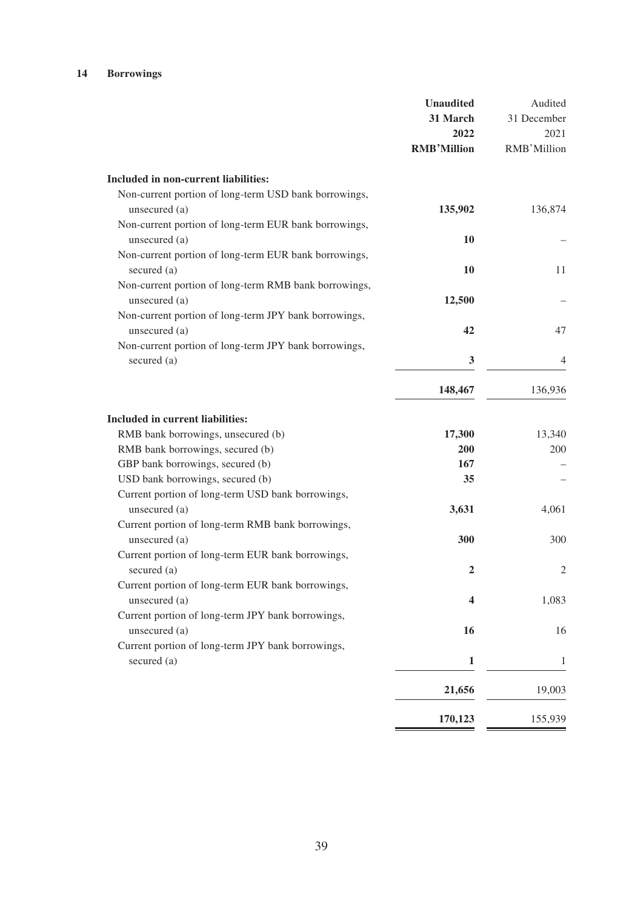## **14 Borrowings**

|                                                                          | <b>Unaudited</b><br>31 March<br>2022<br><b>RMB'Million</b> | Audited<br>31 December<br>2021<br>RMB'Million |
|--------------------------------------------------------------------------|------------------------------------------------------------|-----------------------------------------------|
| Included in non-current liabilities:                                     |                                                            |                                               |
| Non-current portion of long-term USD bank borrowings,<br>unsecured $(a)$ | 135,902                                                    | 136,874                                       |
| Non-current portion of long-term EUR bank borrowings,<br>unsecured (a)   | 10                                                         |                                               |
| Non-current portion of long-term EUR bank borrowings,<br>secured (a)     | <b>10</b>                                                  | 11                                            |
| Non-current portion of long-term RMB bank borrowings,<br>unsecured (a)   | 12,500                                                     |                                               |
| Non-current portion of long-term JPY bank borrowings,<br>unsecured (a)   | 42                                                         | 47                                            |
| Non-current portion of long-term JPY bank borrowings,<br>secured (a)     | 3                                                          | 4                                             |
|                                                                          | 148,467                                                    | 136,936                                       |
| <b>Included in current liabilities:</b>                                  |                                                            |                                               |
| RMB bank borrowings, unsecured (b)                                       | 17,300                                                     | 13,340                                        |
| RMB bank borrowings, secured (b)                                         | 200                                                        | 200                                           |
| GBP bank borrowings, secured (b)                                         | 167                                                        |                                               |
| USD bank borrowings, secured (b)                                         | 35                                                         |                                               |
| Current portion of long-term USD bank borrowings,                        |                                                            |                                               |
| unsecured (a)                                                            | 3,631                                                      | 4,061                                         |
| Current portion of long-term RMB bank borrowings,                        |                                                            |                                               |
| unsecured (a)                                                            | 300                                                        | 300                                           |
| Current portion of long-term EUR bank borrowings,                        |                                                            |                                               |
| secured (a)                                                              | $\overline{2}$                                             | $\overline{2}$                                |
| Current portion of long-term EUR bank borrowings,                        |                                                            |                                               |
| unsecured (a)                                                            | 4                                                          | 1,083                                         |
| Current portion of long-term JPY bank borrowings,                        |                                                            |                                               |
| unsecured (a)                                                            | 16                                                         | 16                                            |
| Current portion of long-term JPY bank borrowings,                        |                                                            |                                               |
| secured (a)                                                              | $\mathbf{1}$                                               | 1                                             |
|                                                                          | 21,656                                                     | 19,003                                        |
|                                                                          | 170,123                                                    | 155,939                                       |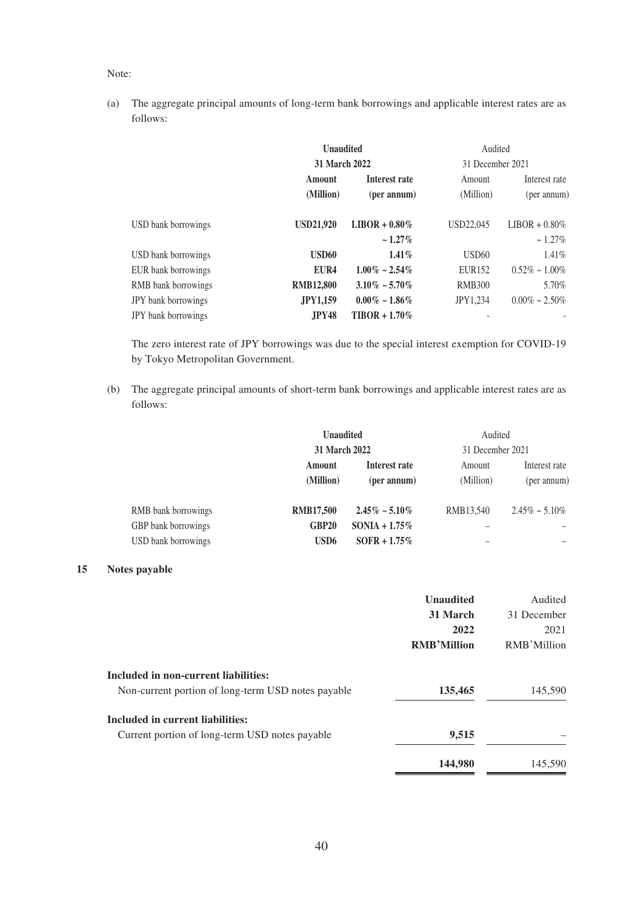#### Note:

(a) The aggregate principal amounts of long-term bank borrowings and applicable interest rates are as follows:

|                            | <b>Unaudited</b>                     |                                   | Audited                                 |                                   |
|----------------------------|--------------------------------------|-----------------------------------|-----------------------------------------|-----------------------------------|
|                            | 31 March 2022<br>Amount<br>(Million) | Interest rate<br>(per annum)      | 31 December 2021<br>Amount<br>(Million) | Interest rate<br>(per annum)      |
| USD bank borrowings        | <b>USD21.920</b>                     | $LIBOR + 0.80\%$<br>$\sim 1.27\%$ | USD22,045                               | $LIBOR + 0.80\%$<br>$\sim 1.27\%$ |
| USD bank borrowings        | USD60                                | $1.41\%$                          | USD <sub>60</sub>                       | 1.41%                             |
| EUR bank borrowings        | EUR <sub>4</sub>                     | $1.00\% \sim 2.54\%$              | EUR <sub>152</sub>                      | $0.52\% \sim 1.00\%$              |
| RMB bank borrowings        | <b>RMB12,800</b>                     | $3.10\% \sim 5.70\%$              | <b>RMB300</b>                           | 5.70%                             |
| JPY bank borrowings        | <b>JPY1,159</b>                      | $0.00\% \sim 1.86\%$              | <b>JPY1.234</b>                         | $0.00\% \sim 2.50\%$              |
| <b>JPY</b> bank borrowings | <b>JPY48</b>                         | $TIBOR + 1.70\%$                  |                                         |                                   |

The zero interest rate of JPY borrowings was due to the special interest exemption for COVID-19 by Tokyo Metropolitan Government.

(b) The aggregate principal amounts of short-term bank borrowings and applicable interest rates are as follows:

| Audited                                 |
|-----------------------------------------|
| 31 December 2021                        |
| Interest rate<br>Amount                 |
| (per annum)<br>(Million)<br>(per annum) |
| RMB13.540<br>$2.45\% \sim 5.10\%$       |
|                                         |
|                                         |
|                                         |

## **15 Notes payable**

|                                                    | <b>Unaudited</b>   | Audited     |
|----------------------------------------------------|--------------------|-------------|
|                                                    | 31 March           | 31 December |
|                                                    | 2022               | 2021        |
|                                                    | <b>RMB'Million</b> | RMB'Million |
| Included in non-current liabilities:               |                    |             |
| Non-current portion of long-term USD notes payable | 135,465            | 145,590     |
| Included in current liabilities:                   |                    |             |
| Current portion of long-term USD notes payable     | 9,515              |             |
|                                                    | 144,980            | 145,590     |
|                                                    |                    |             |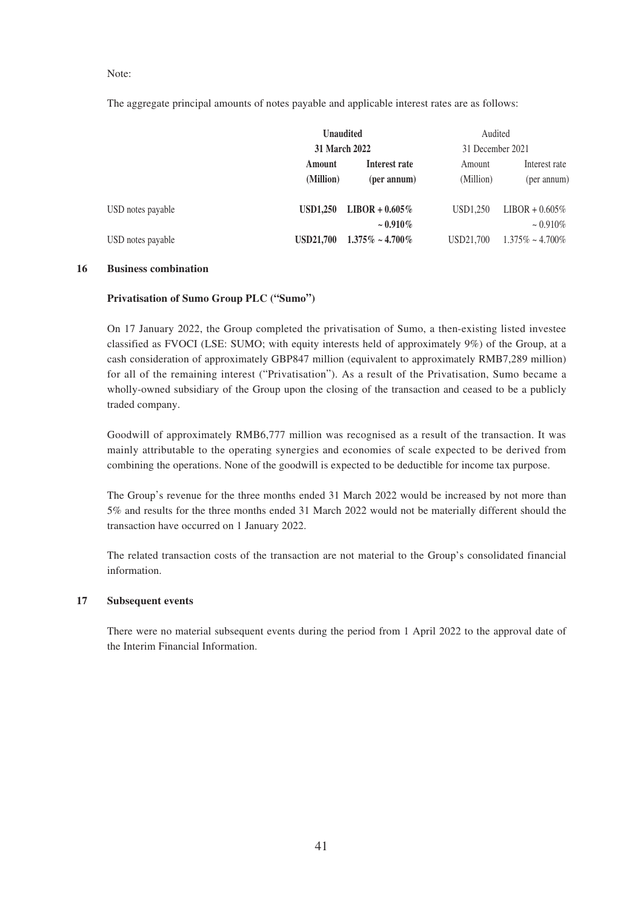Note:

The aggregate principal amounts of notes payable and applicable interest rates are as follows:

|                   |                      | <b>Unaudited</b>       | Audited          |                        |
|-------------------|----------------------|------------------------|------------------|------------------------|
|                   | <b>31 March 2022</b> |                        | 31 December 2021 |                        |
|                   | Amount               | Interest rate          | Amount           | Interest rate          |
|                   | (Million)            | (per annum)            | (Million)        | (per annum)            |
| USD notes payable | <b>USD1.250</b>      | $LIBOR + 0.605\%$      | USD1.250         | $LIBOR + 0.605\%$      |
|                   |                      | $\sim 0.910\%$         |                  | $\sim 0.910\%$         |
| USD notes payable | <b>USD21.700</b>     | $1.375\% \sim 4.700\%$ | USD21.700        | $1.375\% \sim 4.700\%$ |

### **16 Business combination**

#### **Privatisation of Sumo Group PLC ("Sumo")**

On 17 January 2022, the Group completed the privatisation of Sumo, a then-existing listed investee classified as FVOCI (LSE: SUMO; with equity interests held of approximately 9%) of the Group, at a cash consideration of approximately GBP847 million (equivalent to approximately RMB7,289 million) for all of the remaining interest ("Privatisation"). As a result of the Privatisation, Sumo became a wholly-owned subsidiary of the Group upon the closing of the transaction and ceased to be a publicly traded company.

Goodwill of approximately RMB6,777 million was recognised as a result of the transaction. It was mainly attributable to the operating synergies and economies of scale expected to be derived from combining the operations. None of the goodwill is expected to be deductible for income tax purpose.

The Group's revenue for the three months ended 31 March 2022 would be increased by not more than 5% and results for the three months ended 31 March 2022 would not be materially different should the transaction have occurred on 1 January 2022.

The related transaction costs of the transaction are not material to the Group's consolidated financial information.

#### **17 Subsequent events**

There were no material subsequent events during the period from 1 April 2022 to the approval date of the Interim Financial Information.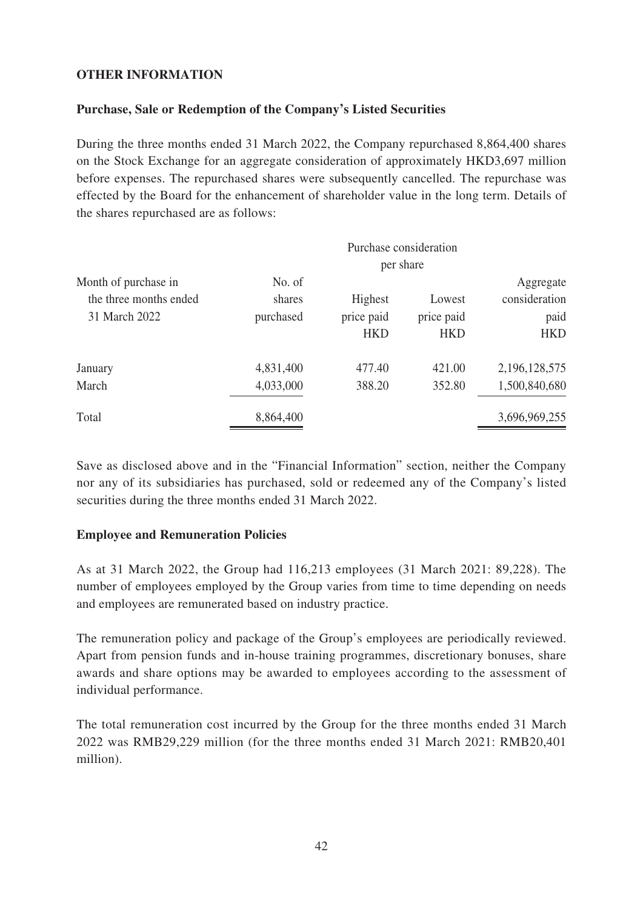# **OTHER INFORMATION**

# **Purchase, Sale or Redemption of the Company's Listed Securities**

During the three months ended 31 March 2022, the Company repurchased 8,864,400 shares on the Stock Exchange for an aggregate consideration of approximately HKD3,697 million before expenses. The repurchased shares were subsequently cancelled. The repurchase was effected by the Board for the enhancement of shareholder value in the long term. Details of the shares repurchased are as follows:

|                                                                 |                               |                                     | Purchase consideration<br>per share |                                                  |
|-----------------------------------------------------------------|-------------------------------|-------------------------------------|-------------------------------------|--------------------------------------------------|
| Month of purchase in<br>the three months ended<br>31 March 2022 | No. of<br>shares<br>purchased | Highest<br>price paid<br><b>HKD</b> | Lowest<br>price paid<br><b>HKD</b>  | Aggregate<br>consideration<br>paid<br><b>HKD</b> |
| January<br>March                                                | 4,831,400<br>4,033,000        | 477.40<br>388.20                    | 421.00<br>352.80                    | 2, 196, 128, 575<br>1,500,840,680                |
| Total                                                           | 8,864,400                     |                                     |                                     | 3,696,969,255                                    |

Save as disclosed above and in the "Financial Information" section, neither the Company nor any of its subsidiaries has purchased, sold or redeemed any of the Company's listed securities during the three months ended 31 March 2022.

## **Employee and Remuneration Policies**

As at 31 March 2022, the Group had 116,213 employees (31 March 2021: 89,228). The number of employees employed by the Group varies from time to time depending on needs and employees are remunerated based on industry practice.

The remuneration policy and package of the Group's employees are periodically reviewed. Apart from pension funds and in-house training programmes, discretionary bonuses, share awards and share options may be awarded to employees according to the assessment of individual performance.

The total remuneration cost incurred by the Group for the three months ended 31 March 2022 was RMB29,229 million (for the three months ended 31 March 2021: RMB20,401 million).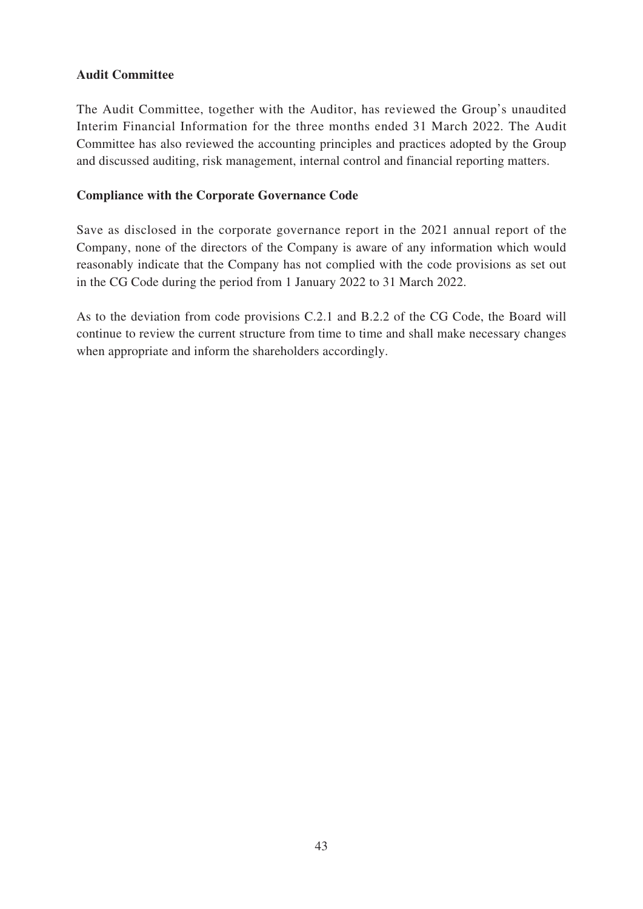# **Audit Committee**

The Audit Committee, together with the Auditor, has reviewed the Group's unaudited Interim Financial Information for the three months ended 31 March 2022. The Audit Committee has also reviewed the accounting principles and practices adopted by the Group and discussed auditing, risk management, internal control and financial reporting matters.

# **Compliance with the Corporate Governance Code**

Save as disclosed in the corporate governance report in the 2021 annual report of the Company, none of the directors of the Company is aware of any information which would reasonably indicate that the Company has not complied with the code provisions as set out in the CG Code during the period from 1 January 2022 to 31 March 2022.

As to the deviation from code provisions C.2.1 and B.2.2 of the CG Code, the Board will continue to review the current structure from time to time and shall make necessary changes when appropriate and inform the shareholders accordingly.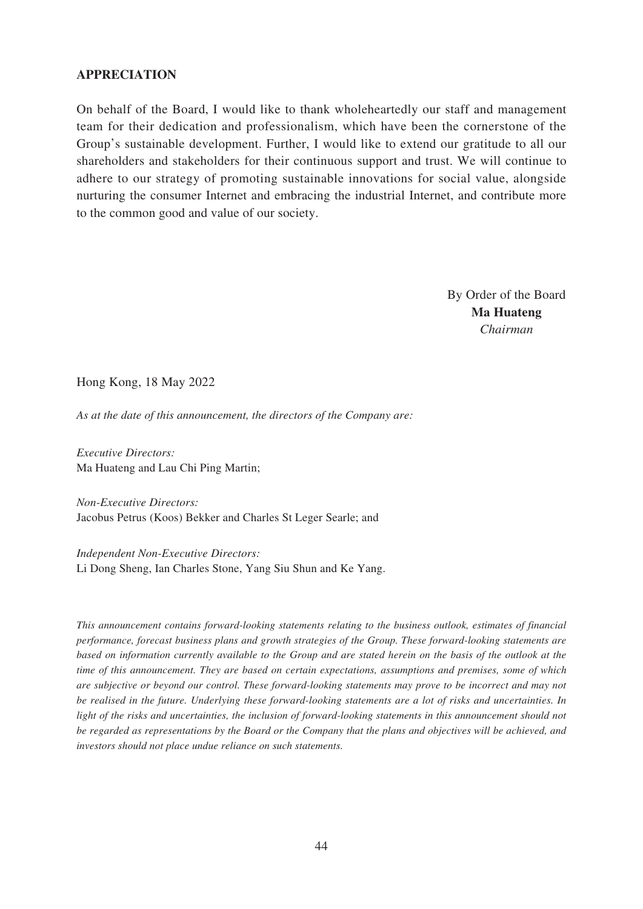## **APPRECIATION**

On behalf of the Board, I would like to thank wholeheartedly our staff and management team for their dedication and professionalism, which have been the cornerstone of the Group's sustainable development. Further, I would like to extend our gratitude to all our shareholders and stakeholders for their continuous support and trust. We will continue to adhere to our strategy of promoting sustainable innovations for social value, alongside nurturing the consumer Internet and embracing the industrial Internet, and contribute more to the common good and value of our society.

> By Order of the Board **Ma Huateng** *Chairman*

Hong Kong, 18 May 2022

*As at the date of this announcement, the directors of the Company are:*

*Executive Directors:* Ma Huateng and Lau Chi Ping Martin;

*Non-Executive Directors:* Jacobus Petrus (Koos) Bekker and Charles St Leger Searle; and

*Independent Non-Executive Directors:* Li Dong Sheng, Ian Charles Stone, Yang Siu Shun and Ke Yang.

*This announcement contains forward-looking statements relating to the business outlook, estimates of financial performance, forecast business plans and growth strategies of the Group. These forward-looking statements are based on information currently available to the Group and are stated herein on the basis of the outlook at the time of this announcement. They are based on certain expectations, assumptions and premises, some of which are subjective or beyond our control. These forward-looking statements may prove to be incorrect and may not be realised in the future. Underlying these forward-looking statements are a lot of risks and uncertainties. In light of the risks and uncertainties, the inclusion of forward-looking statements in this announcement should not be regarded as representations by the Board or the Company that the plans and objectives will be achieved, and investors should not place undue reliance on such statements.*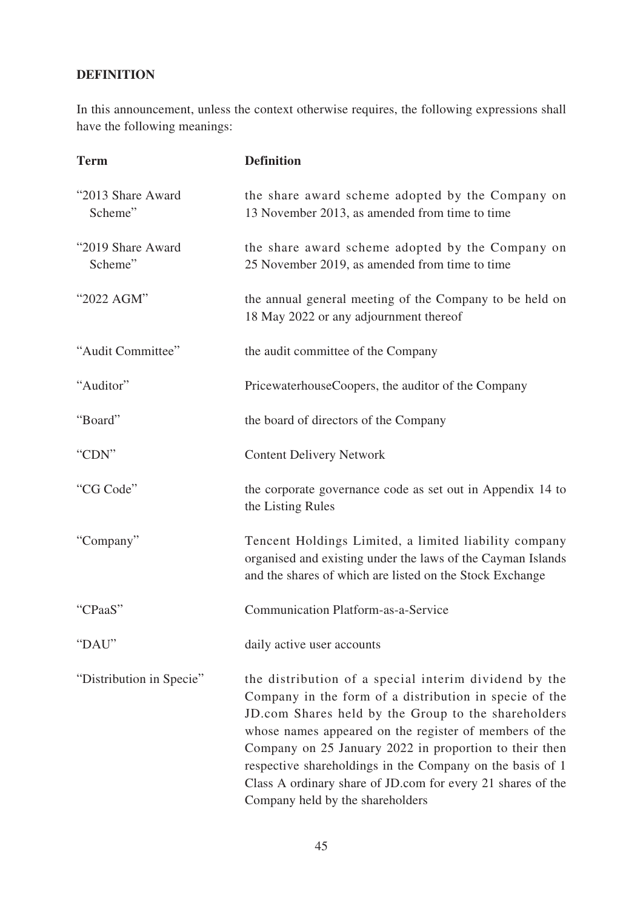# **DEFINITION**

In this announcement, unless the context otherwise requires, the following expressions shall have the following meanings:

| <b>Term</b>                  | <b>Definition</b>                                                                                                                                                                                                                                                                                                                                                                                                                                          |
|------------------------------|------------------------------------------------------------------------------------------------------------------------------------------------------------------------------------------------------------------------------------------------------------------------------------------------------------------------------------------------------------------------------------------------------------------------------------------------------------|
| "2013 Share Award<br>Scheme" | the share award scheme adopted by the Company on<br>13 November 2013, as amended from time to time                                                                                                                                                                                                                                                                                                                                                         |
| "2019 Share Award<br>Scheme" | the share award scheme adopted by the Company on<br>25 November 2019, as amended from time to time                                                                                                                                                                                                                                                                                                                                                         |
| "2022 AGM"                   | the annual general meeting of the Company to be held on<br>18 May 2022 or any adjournment thereof                                                                                                                                                                                                                                                                                                                                                          |
| "Audit Committee"            | the audit committee of the Company                                                                                                                                                                                                                                                                                                                                                                                                                         |
| "Auditor"                    | PricewaterhouseCoopers, the auditor of the Company                                                                                                                                                                                                                                                                                                                                                                                                         |
| "Board"                      | the board of directors of the Company                                                                                                                                                                                                                                                                                                                                                                                                                      |
| "CDN"                        | <b>Content Delivery Network</b>                                                                                                                                                                                                                                                                                                                                                                                                                            |
| "CG Code"                    | the corporate governance code as set out in Appendix 14 to<br>the Listing Rules                                                                                                                                                                                                                                                                                                                                                                            |
| "Company"                    | Tencent Holdings Limited, a limited liability company<br>organised and existing under the laws of the Cayman Islands<br>and the shares of which are listed on the Stock Exchange                                                                                                                                                                                                                                                                           |
| "CPaaS"                      | <b>Communication Platform-as-a-Service</b>                                                                                                                                                                                                                                                                                                                                                                                                                 |
| "DAU"                        | daily active user accounts                                                                                                                                                                                                                                                                                                                                                                                                                                 |
| "Distribution in Specie"     | the distribution of a special interim dividend by the<br>Company in the form of a distribution in specie of the<br>JD.com Shares held by the Group to the shareholders<br>whose names appeared on the register of members of the<br>Company on 25 January 2022 in proportion to their then<br>respective shareholdings in the Company on the basis of 1<br>Class A ordinary share of JD.com for every 21 shares of the<br>Company held by the shareholders |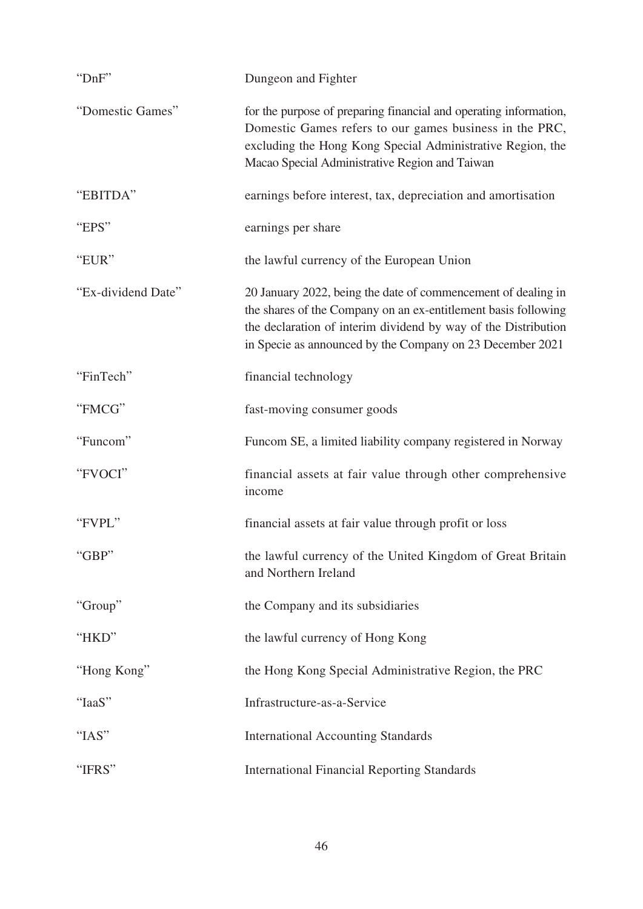| "DnF"              | Dungeon and Fighter                                                                                                                                                                                                                                            |
|--------------------|----------------------------------------------------------------------------------------------------------------------------------------------------------------------------------------------------------------------------------------------------------------|
| "Domestic Games"   | for the purpose of preparing financial and operating information,<br>Domestic Games refers to our games business in the PRC,<br>excluding the Hong Kong Special Administrative Region, the<br>Macao Special Administrative Region and Taiwan                   |
| "EBITDA"           | earnings before interest, tax, depreciation and amortisation                                                                                                                                                                                                   |
| "EPS"              | earnings per share                                                                                                                                                                                                                                             |
| "EUR"              | the lawful currency of the European Union                                                                                                                                                                                                                      |
| "Ex-dividend Date" | 20 January 2022, being the date of commencement of dealing in<br>the shares of the Company on an ex-entitlement basis following<br>the declaration of interim dividend by way of the Distribution<br>in Specie as announced by the Company on 23 December 2021 |
| "FinTech"          | financial technology                                                                                                                                                                                                                                           |
| "FMCG"             | fast-moving consumer goods                                                                                                                                                                                                                                     |
| "Funcom"           | Funcom SE, a limited liability company registered in Norway                                                                                                                                                                                                    |
| "FVOCI"            | financial assets at fair value through other comprehensive<br>income                                                                                                                                                                                           |
| "FVPL"             | financial assets at fair value through profit or loss                                                                                                                                                                                                          |
| "GBP"              | the lawful currency of the United Kingdom of Great Britain<br>and Northern Ireland                                                                                                                                                                             |
| "Group"            | the Company and its subsidiaries                                                                                                                                                                                                                               |
| "HKD"              | the lawful currency of Hong Kong                                                                                                                                                                                                                               |
| "Hong Kong"        | the Hong Kong Special Administrative Region, the PRC                                                                                                                                                                                                           |
| "IaaS"             | Infrastructure-as-a-Service                                                                                                                                                                                                                                    |
| "IAS"              | <b>International Accounting Standards</b>                                                                                                                                                                                                                      |
| "IFRS"             | <b>International Financial Reporting Standards</b>                                                                                                                                                                                                             |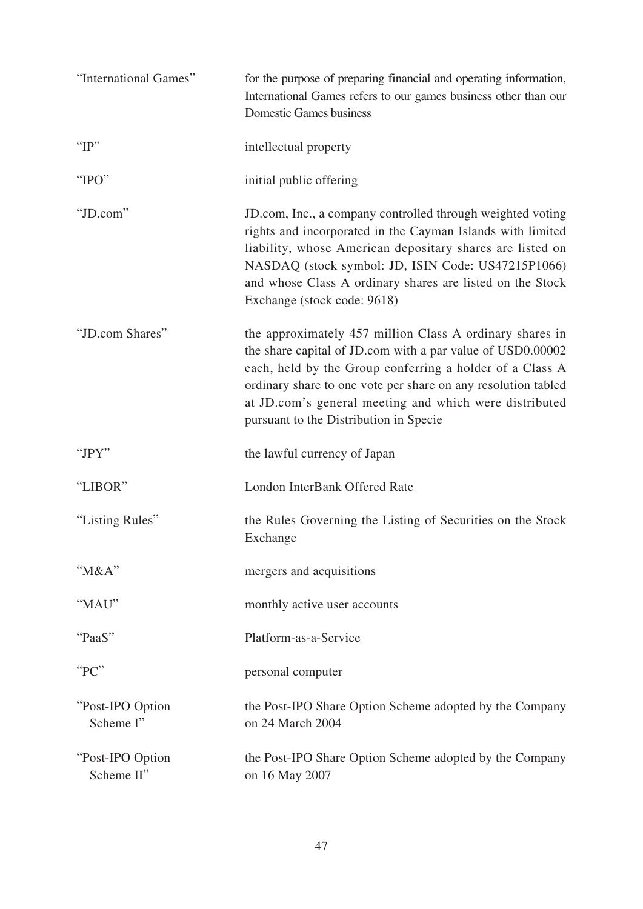| "International Games"          | for the purpose of preparing financial and operating information,<br>International Games refers to our games business other than our<br><b>Domestic Games business</b>                                                                                                                                                                                  |
|--------------------------------|---------------------------------------------------------------------------------------------------------------------------------------------------------------------------------------------------------------------------------------------------------------------------------------------------------------------------------------------------------|
| " $IP$ "                       | intellectual property                                                                                                                                                                                                                                                                                                                                   |
| "IPO"                          | initial public offering                                                                                                                                                                                                                                                                                                                                 |
| "JD.com"                       | JD.com, Inc., a company controlled through weighted voting<br>rights and incorporated in the Cayman Islands with limited<br>liability, whose American depositary shares are listed on<br>NASDAQ (stock symbol: JD, ISIN Code: US47215P1066)<br>and whose Class A ordinary shares are listed on the Stock<br>Exchange (stock code: 9618)                 |
| "JD.com Shares"                | the approximately 457 million Class A ordinary shares in<br>the share capital of JD.com with a par value of USD0.00002<br>each, held by the Group conferring a holder of a Class A<br>ordinary share to one vote per share on any resolution tabled<br>at JD.com's general meeting and which were distributed<br>pursuant to the Distribution in Specie |
| "JPY"                          | the lawful currency of Japan                                                                                                                                                                                                                                                                                                                            |
| "LIBOR"                        | London InterBank Offered Rate                                                                                                                                                                                                                                                                                                                           |
| "Listing Rules"                | the Rules Governing the Listing of Securities on the Stock<br>Exchange                                                                                                                                                                                                                                                                                  |
| "M&A"                          | mergers and acquisitions                                                                                                                                                                                                                                                                                                                                |
| "MAU"                          | monthly active user accounts                                                                                                                                                                                                                                                                                                                            |
| "PaaS"                         | Platform-as-a-Service                                                                                                                                                                                                                                                                                                                                   |
| "PC"                           | personal computer                                                                                                                                                                                                                                                                                                                                       |
| "Post-IPO Option<br>Scheme I"  | the Post-IPO Share Option Scheme adopted by the Company<br>on 24 March 2004                                                                                                                                                                                                                                                                             |
| "Post-IPO Option<br>Scheme II" | the Post-IPO Share Option Scheme adopted by the Company<br>on 16 May 2007                                                                                                                                                                                                                                                                               |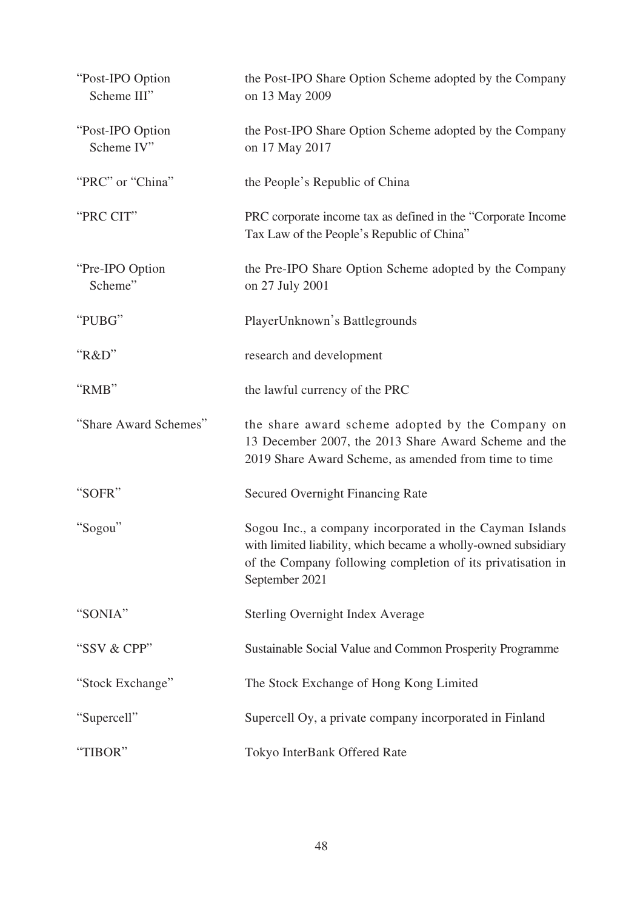| "Post-IPO Option<br>Scheme III" | the Post-IPO Share Option Scheme adopted by the Company<br>on 13 May 2009                                                                                                                                   |
|---------------------------------|-------------------------------------------------------------------------------------------------------------------------------------------------------------------------------------------------------------|
| "Post-IPO Option<br>Scheme IV"  | the Post-IPO Share Option Scheme adopted by the Company<br>on 17 May 2017                                                                                                                                   |
| "PRC" or "China"                | the People's Republic of China                                                                                                                                                                              |
| "PRC CIT"                       | PRC corporate income tax as defined in the "Corporate Income"<br>Tax Law of the People's Republic of China"                                                                                                 |
| "Pre-IPO Option<br>Scheme"      | the Pre-IPO Share Option Scheme adopted by the Company<br>on 27 July 2001                                                                                                                                   |
| "PUBG"                          | PlayerUnknown's Battlegrounds                                                                                                                                                                               |
| "R&D"                           | research and development                                                                                                                                                                                    |
| "RMB"                           | the lawful currency of the PRC                                                                                                                                                                              |
| "Share Award Schemes"           | the share award scheme adopted by the Company on<br>13 December 2007, the 2013 Share Award Scheme and the<br>2019 Share Award Scheme, as amended from time to time                                          |
| "SOFR"                          | <b>Secured Overnight Financing Rate</b>                                                                                                                                                                     |
| "Sogou"                         | Sogou Inc., a company incorporated in the Cayman Islands<br>with limited liability, which became a wholly-owned subsidiary<br>of the Company following completion of its privatisation in<br>September 2021 |
| "SONIA"                         | Sterling Overnight Index Average                                                                                                                                                                            |
| "SSV & CPP"                     | Sustainable Social Value and Common Prosperity Programme                                                                                                                                                    |
| "Stock Exchange"                | The Stock Exchange of Hong Kong Limited                                                                                                                                                                     |
| "Supercell"                     | Supercell Oy, a private company incorporated in Finland                                                                                                                                                     |
| "TIBOR"                         | Tokyo InterBank Offered Rate                                                                                                                                                                                |